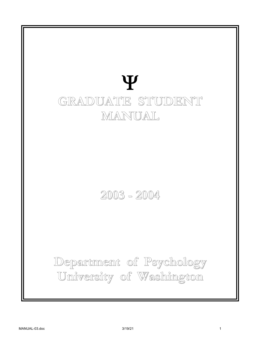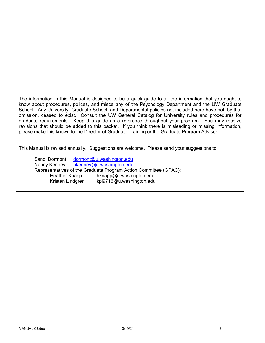The information in this Manual is designed to be a quick guide to all the information that you ought to know about procedures, polices, and miscellany of the Psychology Department and the UW Graduate School. Any University, Graduate School, and Departmental policies not included here have not, by that omission, ceased to exist. Consult the UW General Catalog for University rules and procedures for graduate requirements. Keep this guide as a reference throughout your program. You may receive revisions that should be added to this packet. If you think there is misleading or missing information, please make this known to the Director of Graduate Training or the Graduate Program Advisor.

This Manual is revised annually. Suggestions are welcome. Please send your suggestions to:

Sandi Dormont dormont@u.washington.edu Nancy Kenney nkenney@u.washington.edu Representatives of the Graduate Program Action Committee (GPAC): Heather Knapp hknapp@u.washington.edu Kristen Lindgren kpl9716@u.washington.edu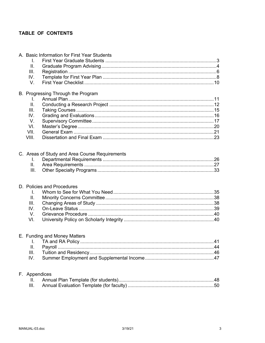## TABLE OF CONTENTS

| A. Basic Information for First Year Students<br>I.<br>Ш.<br>III.<br>IV.<br>V.                |  |
|----------------------------------------------------------------------------------------------|--|
| B. Progressing Through the Program<br>I.<br>II.<br>III.<br>IV.<br>V.<br>VI.<br>VII.<br>VIII. |  |
| C. Areas of Study and Area Course Requirements<br>L.<br>II.<br>III.                          |  |
| D. Policies and Procedures<br>Ι.<br>$\mathbf{II}$ .<br>III.<br>IV.<br>V.<br>VI.              |  |
| E. Funding and Money Matters<br>Ш.<br>Ш.<br>IV.                                              |  |
| F. Appendices<br>н.<br>Ш.                                                                    |  |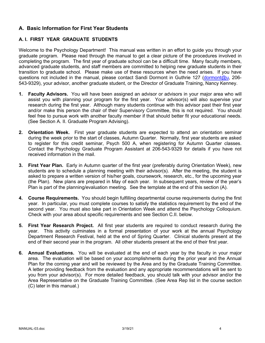## **A. Basic Information for First Year Students**

## **A. I. FIRST YEAR GRADUATE STUDENTS**

Welcome to the Psychology Department! This manual was written in an effort to guide you through your graduate program. Please read through the manual to get a clear picture of the procedures involved in completing the program. The first year of graduate school can be a difficult time. Many faculty members, advanced graduate students, and staff members are committed to helping new graduate students in their transition to graduate school. Please make use of these resources when the need arises. If you have questions not included in the manual, please contact Sandi Dormont in Guthrie 127 (dormont@u, 206- 543-9329), your advisor, another graduate student, or the Director of Graduate Training, Nancy Kenney.

- **1. Faculty Advisors.** You will have been assigned an advisor or advisors in your major area who will assist you with planning your program for the first year. Your advisor(s) will also supervise your research during the first year. Although many students continue with this advisor past their first year and/or make this person the chair of their Supervisory Committee, this is not required. You should feel free to pursue work with another faculty member if that should better fit your educational needs. (See Section A. II. Graduate Program Advising).
- **2. Orientation Week.** First year graduate students are expected to attend an orientation seminar during the week prior to the start of classes, Autumn Quarter. Normally, first year students are asked to register for this credit seminar, Psych 500 A, when registering for Autumn Quarter classes. Contact the Psychology Graduate Program Assistant at 206-543-9329 for details if you have not received information in the mail.
- **3. First Year Plan.** Early in Autumn quarter of the first year (preferably during Orientation Week), new students are to schedule a planning meeting with their advisor(s). After the meeting, the student is asked to prepare a written version of his/her goals, coursework, research, etc., for the upcoming year (the Plan). New plans are prepared in May of each year. In subsequent years, review of the year's Plan is part of the planning/evaluation meeting. See the template at the end of this section (A).
- **4. Course Requirements.** You should begin fulfilling departmental course requirements during the first year. In particular, you must complete courses to satisfy the statistics requirement by the end of the second year. You must also take part in Orientation Week and attend the Psychology Colloquium. Check with your area about specific requirements and see Section C.II. below.
- **5. First Year Research Project.** All first year students are required to conduct research during the year. This activity culminates in a formal presentation of your work at the annual Psychology Department Research Festival, held at the end of Spring Quarter. Clinical students present at the end of their second year in the program. All other students present at the end of their first year.
- **6. Annual Evaluations.** You will be evaluated at the end of each year by the faculty in your major area. The evaluation will be based on your accomplishments during the prior year and the Annual Plan for the coming year and will be reviewed by the Area and by the Graduate Training Committee. A letter providing feedback from the evaluation and any appropriate recommendations will be sent to you from your advisor(s). For more detailed feedback, you should talk with your advisor and/or the Area Representative on the Graduate Training Committee. (See Area Rep list in the course section (C) later in this manual.)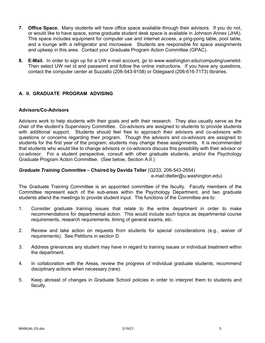- **7. Office Space.** Many students will have office space available through their advisors. If you do not, or would like to have space, some graduate student desk space is available in Johnson Annex (JHA). This space includes equipment for computer use and internet access, a ping-pong table, pool table, and a lounge with a refrigerator and microwave. Students are responsible for space assignments and upkeep in this area. Contact your Graduate Program Action Committee (GPAC).
- **8. E-Mail.** In order to sign up for a UW e-mail account, go to www.washington.edu/computing/uwnetid. Then select UW net id and password and follow the online instructions. If you have any questions, contact the computer center at Suzzallo (206-543-9158) or Odegaard (206-616-7173) libraries.

## **A. II. GRADUATE PROGRAM ADVISING**

### **Advisors/Co-Advisors**

Advisors work to help students with their goals and with their research. They also usually serve as the chair of the student's Supervisory Committee. Co-advisors are assigned to students to provide students with additional support. Students should feel free to approach their advisors and co-advisors with questions or concerns regarding their program. Though the advisors and co-advisors are assigned to students for the first year of the program, students may change these assignments. It is recommended that students who would like to change advisors or co-advisors discuss this possibility with their advisor or co-advisor. For a student perspective, consult with other graduate students, and/or the Psychology Graduate Program Action Committee. (See below, Section A.II.)

### *Graduate Training Committee –* **Chaired by Davida Teller** (G233, 206-543-2654)

e-mail:dteller@u.washington.edu)

The Graduate Training Committee is an appointed committee of the faculty. Faculty members of the Committee represent each of the sub-areas within the Psychology Department, and two graduate students attend the meetings to provide student input. The functions of the Committee are to:

- 1. Consider graduate training issues that relate to the entire department in order to make recommendations for departmental action. This would include such topics as departmental course requirements, research requirements, timing of general exams, etc.
- 2. Review and take action on requests from students for special considerations (e.g., waiver of requirements). See Petitions in section D.
- 3. Address grievances any student may have in regard to training issues or individual treatment within the department.
- 4. In collaboration with the Areas, review the progress of individual graduate students, recommend disciplinary actions when necessary (rare).
- 5. Keep abreast of changes in Graduate School policies in order to interpret them to students and faculty.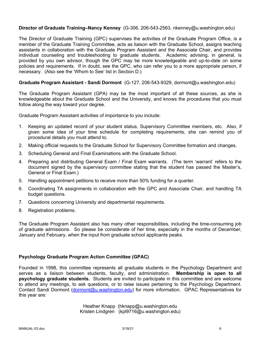### **Director of Graduate Training–Nancy Kenney** (G-306, 206-543-2563, nkenney@u.washington.edu)

The Director of Graduate Training (GPC) supervises the activities of the Graduate Program Office, is a member of the Graduate Training Committee, acts as liaison with the Graduate School, assigns teaching assistants in collaboration with the Graduate Program Assistant and the Associate Chair, and provides individual counseling and troubleshooting to graduate students. Academic advising, in general, is provided by you own advisor, though the GPC may be more knowledgeable and up-to-date on some policies and requirements. If in doubt, see the GPC, who can refer you to a more appropriate person, if necessary. (Also see the 'Whom to See' list in Section D.)

### **Graduate Program Assistant - Sandi Dormont** (G-127, 206-543-9329, dormont@u.washington.edu)

The Graduate Program Assistant (GPA) may be the most important of all these sources, as she is knowledgeable about the Graduate School and the University, and knows the procedures that you must follow along the way toward your degree.

Graduate Program Assistant activities of importance to you include:

- 1. Keeping an updated record of your student status, Supervisory Committee members, etc. Also, if given some idea of your time schedule for completing requirements, she can remind you of procedural details you must attend to.
- 2. Making official requests to the Graduate School for Supervisory Committee formation and changes.
- 3. Scheduling General and Final Examinations with the Graduate School.
- 4. Preparing and distributing General Exam / Final Exam warrants. (The term 'warrant' refers to the document signed by the supervisory committee stating that the student has passed the Master's, General or Final Exam.)
- 5. Handling appointment petitions to receive more than 50% funding for a quarter.
- 6. Coordinating TA assignments in collaboration with the GPC and Associate Chair, and handling TA budget questions.
- 7. Questions concerning University and departmental requirements.
- 8. Registration problems.

The Graduate Program Assistant also has many other responsibilities, including the time-consuming job of graduate admissions. So please be considerate of her time, especially in the months of December, January and February, when the input from graduate school applicants peaks.

### **Psychology Graduate Program Action Committee (GPAC)**

Founded in 1998, this committee represents all graduate students in the Psychology Department and serves as a liaison between students, faculty, and administration. **Membership is open to all psychology graduate students.** Students are invited to participate in this committee and are welcome to attend any meetings, to ask questions, or to raise issues pertaining to the Psychology Department. Contact Sandi Dormont (dormont@u.washington.edu) for more information. GPAC Representatives for this year are:

> Heather Knapp (hknapp@u.washington.edu Kristen Lindgren (kpl9716@u.washington.edu)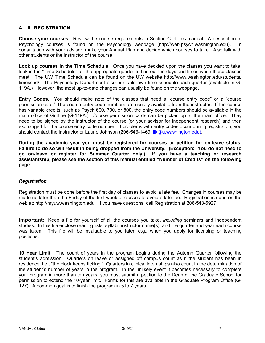### **A. III. REGISTRATION**

**Choose your courses**. Review the course requirements in Section C of this manual. A description of Psychology courses is found on the Psychology webpage (http://web.psych.washington.edu). In consultation with your advisor, make your Annual Plan and decide which courses to take. Also talk with other students or the instructor of the course.

**Look up courses in the Time Schedule**. Once you have decided upon the classes you want to take, look in the "Time Schedule" for the appropriate quarter to find out the days and times when these classes meet. The UW Time Schedule can be found on the UW website http://www.washington.edu/students/ timeschd/. The Psychology Department also prints its own time schedule each quarter (available in G-119A.) However, the most up-to-date changes can usually be found on the webpage.

**Entry Codes**. You should make note of the classes that need a "course entry code" or a "course permission card." The course entry code numbers are usually available from the instructor. If the course has variable credits, such as Psych 600, 700, or 800, the entry code numbers should be available in the main office of Guthrie (G-119A.) Course permission cards can be picked up at the main office. They need to be signed by the instructor of the course (or your advisor for independent research) and then exchanged for the course entry code number. If problems with entry codes occur during registration, you should contact the instructor or Laurie Johnson (206-543-1469, lik@u.washington.edu).

**During the academic year you must be registered for courses or petition for on-leave status. Failure to do so will result in being dropped from the University. (Exception: You do not need to go on-leave or register for Summer Quarter only.) If you have a teaching or research assistantship, please see the section of this manual entitled "Number of Credits" on the following page.**

### *Registration*

Registration must be done before the first day of classes to avoid a late fee. Changes in courses may be made no later than the Friday of the first week of classes to avoid a late fee. Registration is done on the web at: http://myuw.washington.edu. If you have questions, call Registration at 206-543-5927.

**Important**: Keep a file for yourself of all the courses you take, *including* seminars and independent studies. In this file enclose reading lists, syllabi, instructor name(s), and the quarter and year each course was taken. This file will be invaluable to you later; e.g., when you apply for licensing or teaching positions.

**10 Year Limit**: The count of years in the program begins during the Autumn Quarter following the student's admission. Quarters on leave or assigned off campus count as if the student has been in residence, i.e., "the clock keeps ticking." Quarters in clinical internships also count in the determination of the student's number of years in the program. In the unlikely event it becomes necessary to complete your program in more than ten years, you must submit a petition to the Dean of the Graduate School for permission to extend the 10-year limit. Forms for this are available in the Graduate Program Office (G-127). A common goal is to finish the program in 5 to 7 years.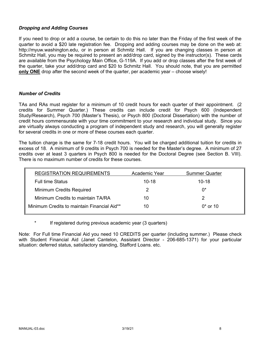### *Dropping and Adding Courses*

If you need to drop or add a course, be certain to do this no later than the Friday of the first week of the quarter to avoid a \$20 late registration fee. Dropping and adding courses may be done on the web at: http://myuw.washington.edu, or in person at Schmitz Hall. If you are changing classes in person at Schmitz Hall, you may be required to present an add/drop card, signed by the instructor(s). These cards are available from the Psychology Main Office, G-119A. If you add or drop classes after the first week of the quarter, take your add/drop card and \$20 to Schmitz Hall. You should note, that you are permitted **only ONE** drop after the second week of the quarter, per academic year – choose wisely!

### *Number of Credits*

TAs and RAs must register for a minimum of 10 credit hours for each quarter of their appointment. (2 credits for Summer Quarter.) These credits can include credit for Psych 600 (Independent Study/Research), Psych 700 (Master's Thesis), or Psych 800 (Doctoral Dissertation) with the number of credit hours commensurate with your time commitment to your research and individual study. Since you are virtually always conducting a program of independent study and research, you will generally register for several credits in one or more of these courses each quarter.

The tuition charge is the same for 7-18 credit hours. You will be charged additional tuition for credits in excess of 18. A minimum of 9 credits in Psych 700 is needed for the Master's degree. A minimum of 27 credits over at least 3 quarters in Psych 800 is needed for the Doctoral Degree (see Section B. VIII). There is no maximum number of credits for these courses.

| <b>REGISTRATION REQUIREMENTS</b>            | Academic Year | <b>Summer Quarter</b> |
|---------------------------------------------|---------------|-----------------------|
| <b>Full time Status</b>                     | $10 - 18$     | $10 - 18$             |
| Minimum Credits Required                    |               | በ*                    |
| Minimum Credits to maintain TA/RA           | 10            |                       |
| Minimum Credits to maintain Financial Aid** | 10            | $0*$ or 10            |

If registered during previous academic year (3 quarters)

Note: For Full time Financial Aid you need 10 CREDITS per quarter (including summer.) Please check with Student Financial Aid (Janet Cantelon, Assistant Director - 206-685-1371) for your particular situation: deferred status, satisfactory standing, Stafford Loans. etc.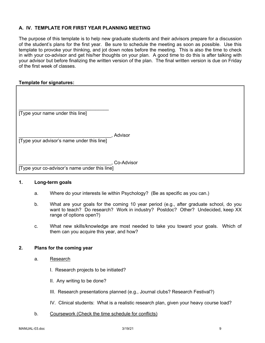### **A. IV. TEMPLATE FOR FIRST YEAR PLANNING MEETING**

The purpose of this template is to help new graduate students and their advisors prepare for a discussion of the student's plans for the first year. Be sure to schedule the meeting as soon as possible. Use this template to provoke your thinking, and jot down notes before the meeting. This is also the time to check in with your co-advisor and get his/her thoughts on your plan. A good time to do this is after talking with your advisor but before finalizing the written version of the plan. The final written version is due on Friday of the first week of classes.

### **Template for signatures:**

| [Type your name under this line]              |            |
|-----------------------------------------------|------------|
| [Type your advisor's name under this line]    | Advisor    |
| [Type your co-advisor's name under this line] | Co-Advisor |

### **1. Long-term goals**

- a. Where do your interests lie within Psychology? (Be as specific as you can.)
- b. What are your goals for the coming 10 year period (e.g., after graduate school, do you want to teach? Do research? Work in industry? Postdoc? Other? Undecided, keep XX range of options open?)
- c. What new skills/knowledge are most needed to take you toward your goals. Which of them can you acquire this year, and how?

### **2. Plans for the coming year**

- a. Research
	- I. Research projects to be initiated?
	- II. Any writing to be done?
	- III. Research presentations planned (e.g., Journal clubs? Research Festival?)
	- IV. Clinical students: What is a realistic research plan, given your heavy course load?
- b. Coursework (Check the time schedule for conflicts)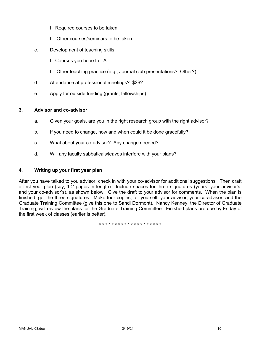- I. Required courses to be taken
- II. Other courses/seminars to be taken
- c. Development of teaching skills
	- I. Courses you hope to TA
	- II. Other teaching practice (e.g., Journal club presentations? Other?)
- d. Attendance at professional meetings? \$\$\$?
- e. Apply for outside funding (grants, fellowships)

### **3. Advisor and co-advisor**

- a. Given your goals, are you in the right research group with the right advisor?
- b. If you need to change, how and when could it be done gracefully?
- c. What about your co-advisor? Any change needed?
- d. Will any faculty sabbaticals/leaves interfere with your plans?

### **4. Writing up your first year plan**

After you have talked to you advisor, check in with your co-advisor for additional suggestions. Then draft a first year plan (say, 1-2 pages in length). Include spaces for three signatures (yours, your advisor's, and your co-advisor's), as shown below. Give the draft to your advisor for comments. When the plan is finished, get the three signatures. Make four copies, for yourself, your advisor, your co-advisor, and the Graduate Training Committee (give this one to Sandi Dormont). Nancy Kenney, the Director of Graduate Training, will review the plans for the Graduate Training Committee. Finished plans are due by Friday of the first week of classes (earlier is better).

\* \* \* \* \* \* \* \* \* \* \* \* \* \* \* \* \* \* \* \*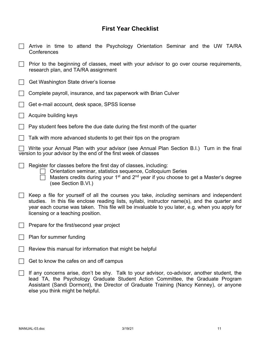# **First Year Checklist**

| Arrive in time to attend the Psychology Orientation Seminar and the UW TA/RA<br>Conferences                                                                                                                                                                                                                                             |  |  |  |
|-----------------------------------------------------------------------------------------------------------------------------------------------------------------------------------------------------------------------------------------------------------------------------------------------------------------------------------------|--|--|--|
| Prior to the beginning of classes, meet with your advisor to go over course requirements,<br>research plan, and TA/RA assignment                                                                                                                                                                                                        |  |  |  |
| Get Washington State driver's license                                                                                                                                                                                                                                                                                                   |  |  |  |
| Complete payroll, insurance, and tax paperwork with Brian Culver                                                                                                                                                                                                                                                                        |  |  |  |
| Get e-mail account, desk space, SPSS license                                                                                                                                                                                                                                                                                            |  |  |  |
| Acquire building keys                                                                                                                                                                                                                                                                                                                   |  |  |  |
| Pay student fees before the due date during the first month of the quarter                                                                                                                                                                                                                                                              |  |  |  |
| Talk with more advanced students to get their tips on the program                                                                                                                                                                                                                                                                       |  |  |  |
| Write your Annual Plan with your advisor (see Annual Plan Section B.I.) Turn in the final<br>version to your advisor by the end of the first week of classes                                                                                                                                                                            |  |  |  |
| Register for classes before the first day of classes, including:<br>Orientation seminar, statistics sequence, Colloquium Series<br>Masters credits during your 1 <sup>st</sup> and 2 <sup>nd</sup> year if you choose to get a Master's degree<br>(see Section B.VI.)                                                                   |  |  |  |
| Keep a file for yourself of all the courses you take, <i>including</i> seminars and independent<br>studies. In this file enclose reading lists, syllabi, instructor name(s), and the quarter and<br>year each course was taken. This file will be invaluable to you later, e.g. when you apply for<br>licensing or a teaching position. |  |  |  |
| Prepare for the first/second year project                                                                                                                                                                                                                                                                                               |  |  |  |
| Plan for summer funding                                                                                                                                                                                                                                                                                                                 |  |  |  |
| Review this manual for information that might be helpful                                                                                                                                                                                                                                                                                |  |  |  |
| Get to know the cafes on and off campus                                                                                                                                                                                                                                                                                                 |  |  |  |
| If any concerns arise, don't be shy. Talk to your advisor, co-advisor, another student, the<br>lead TA, the Psychology Graduate Student Action Committee, the Graduate Program<br>Assistant (Sandi Dormont), the Director of Graduate Training (Nancy Kenney), or anyone<br>else you think might be helpful.                            |  |  |  |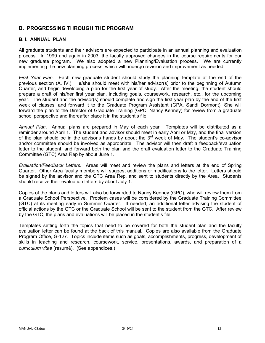## **B. PROGRESSING THROUGH THE PROGRAM**

### **B. I. ANNUAL PLAN**

All graduate students and their advisors are expected to participate in an annual planning and evaluation process. In 1999 and again in 2003, the faculty approved changes in the course requirements for our new graduate program. We also adopted a new Planning/Evaluation process. We are currently implementing the new planning process, which will undergo revision and improvement as needed.

*First Year Plan*. Each new graduate student should study the planning template at the end of the previous section (A. IV.) He/she should meet with his/her advisor(s) prior to the beginning of Autumn Quarter, and begin developing a plan for the first year of study. After the meeting, the student should prepare a draft of his/her first year plan, including goals, coursework, research, etc., for the upcoming year. The student and the advisor(s) should complete and sign the first year plan by the end of the first week of classes, and forward it to the Graduate Program Assistant (GPA, Sandi Dormont). She will forward the plan to the Director of Graduate Training (GPC, Nancy Kenney) for review from a graduate school perspective and thereafter place it in the student's file.

*Annual Plan*. Annual plans are prepared in May of each year. Templates will be distributed as a reminder around April 1. The student and advisor should meet in early April or May, and the final version of the plan should be in the advisor's hands by about the  $3<sup>rd</sup>$  week of May. The student's co-advisor and/or committee should be involved as appropriate. The advisor will then draft a feedback/evaluation letter to the student, and forward both the plan and the draft evaluation letter to the Graduate Training Committee (GTC) Area Rep by about June 1.

*Evaluation/Feedback Letters.* Areas will meet and review the plans and letters at the end of Spring Quarter. Other Area faculty members will suggest additions or modifications to the letter. Letters should be signed by the advisor and the GTC Area Rep, and sent to students directly by the Area. Students should receive their evaluation letters by about July 1.

Copies of the plans and letters will also be forwarded to Nancy Kenney (GPC), who will review them from a Graduate School Perspective. Problem cases will be considered by the Graduate Training Committee (GTC) at its meeting early in Summer Quarter. If needed, an additional letter advising the student of official actions by the GTC or the Graduate School will be sent to the student from the GTC. After review by the GTC, the plans and evaluations will be placed in the student's file.

Templates setting forth the topics that need to be covered for both the student plan and the faculty evaluation letter can be found at the back of this manual. Copies are also available from the Graduate Program Office, G-127. Topics include items such as goals, accomplishments, progress, development of skills in teaching and research, coursework, service, presentations, awards, and preparation of a *curriculum vitae* (resumé). (See appendices.)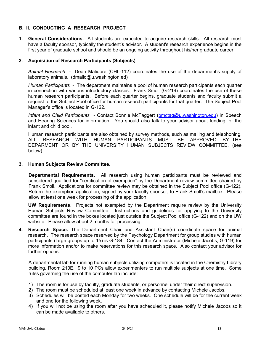### **B. II. CONDUCTING A RESEARCH PROJECT**

**1. General Considerations.** All students are expected to acquire research skills. All research must have a faculty sponsor, typically the student's advisor. A student's research experience begins in the first year of graduate school and should be an ongoing activity throughout his/her graduate career.

### **2. Acquisition of Research Participants (Subjects)**

*Animal Research* - Dean Malidore (CHL-112) coordinates the use of the department's supply of laboratory animals. (dmalid@u.washington.ed)

*Human Participants* - The department maintains a pool of human research participants each quarter in connection with various introductory classes. Frank Smoll (G-219) coordinates the use of these human research participants. Before each quarter begins, graduate students and faculty submit a request to the Subject Pool office for human research participants for that quarter. The Subject Pool Manager's office is located in G-122.

*Infant and Child Participants* - Contact Bonnie McTaggert (bmctag@u.washington.edu) in Speech and Hearing Sciences for information. You should also talk to your advisor about funding for the infant and child pool.

Human research participants are also obtained by survey methods, such as mailing and telephoning. ALL RESEARCH WITH HUMAN PARTICIPANTS MUST BE APPROVED BY THE DEPARMENT OR BY THE UNIVERSITY HUMAN SUBJECTS REVIEW COMMITTEE. (see below)

### **3. Human Subjects Review Committee.**

**Departmental Requirements.** All research using human participants must be reviewed and considered qualified for "certification of exemption" by the Department review committee chaired by Frank Smoll. Applications for committee review may be obtained in the Subject Pool office (G-122). Return the exemption application, signed by your faculty sponsor, to Frank Smoll's mailbox. Please allow at least one week for processing of the application.

**UW Requirements**. Projects not exempted by the Department require review by the University Human Subjects Review Committee. Instructions and guidelines for applying to the University committee are found in the boxes located just outside the Subject Pool office (G-122) and on the UW website. Please allow about 2 months for processing.

**4. Research Space.** The Department Chair and Assistant Chair(s) coordinate space for animal research. The research space reserved by the Psychology Department for group studies with human participants (large groups up to 15) is G-184. Contact the Administrator (Michele Jacobs, G-119) for more information and/or to make reservations for this research space. Also contact your advisor for further options.

A departmental lab for running human subjects utilizing computers is located in the Chemistry Library building, Room 210E. 9 to 10 PCs allow experimenters to run multiple subjects at one time. Some rules governing the use of the computer lab include:

- 1) The room is for use by faculty, graduate students, or personnel under their direct supervision.
- 2) The room must be scheduled at least one week in advance by contacting Michele Jacobs.
- 3) Schedules will be posted each Monday for two weeks. One schedule will be for the current week and one for the following week.
- 4) If you will not be using the room after you have scheduled it, please notify Michele Jacobs so it can be made available to others.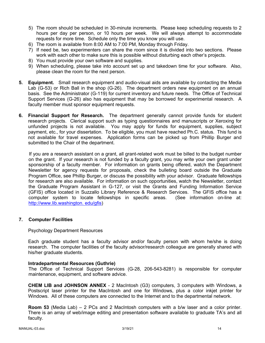- 5) The room should be scheduled in 30-minute increments. Please keep scheduling requests to 2 hours per day per person, or 10 hours per week. We will always attempt to accommodate requests for more time. Schedule only the time you know you will use.
- 6) The room is available from 8:00 AM to 7:00 PM, Monday through Friday.
- 7) If need be, two experimenters can share the room since it is divided into two sections. Please work with each other to make sure this is possible without disturbing each other's projects.
- 8) You must provide your own software and supplies.
- 9) When scheduling, please take into account set up and takedown time for your software. Also, please clean the room for the next person.
- **5. Equipment.** Small research equipment and audio-visual aids are available by contacting the Media Lab (G-53) or Rich Ball in the shop (G-26). The department orders new equipment on an annual basis. See the Administrator (G-119) for current inventory and future needs. The Office of Technical Support Services (G-26) also has equipment that may be borrowed for experimental research. A faculty member must sponsor equipment requests.
- **6. Financial Support for Research.** The department generally cannot provide funds for student research projects. Clerical support such as typing questionnaires and manuscripts or Xeroxing for unfunded projects is not available. You may apply for funds for equipment, supplies, subject payment, etc., for your dissertation. To be eligible, you must have reached Ph.C. status. This fund is not available for travel expenses. Application forms can be picked up from Phillip Burger and submitted to the Chair of the department.

If you are a research assistant on a grant, all grant-related work must be billed to the budget number on the grant. If your research is not funded by a faculty grant, you may write your own grant under sponsorship of a faculty member. For information on grants being offered, watch the Department Newsletter for agency requests for proposals, check the bulleting board outside the Graduate Program Office, see Phillip Burger, or discuss the possibility with your advisor. Graduate fellowships for research are also available. For information on such opportunities, watch the Newsletter, contact the Graduate Program Assistant in G-127, or visit the Grants and Funding Information Service (GFIS) office located in Suzzallo Library Reference & Research Services. The GFIS office has a computer system to locate fellowships in specific areas. (See information on-line at: http://www.lib.washington. edu/gfis)

### **7. Computer Facilities**

### Psychology Department Resources

Each graduate student has a faculty advisor and/or faculty person with whom he/she is doing research. The computer facilities of the faculty advisor/research colleague are generally shared with his/her graduate students.

### **Intradepartmental Resources (Guthrie)**

The Office of Technical Support Services (G-28, 206-543-8281) is responsible for computer maintenance, equipment, and software advice.

**CHEM LIB and JOHNSON ANNEX** - 2 MacIntosh (G3) computers, 3 computers with Windows, a Postscript laser printer for the MacIntosh and one for Windows, plus a color inkjet printer for Windows. All of these computers are connected to the Internet and to the departmental network.

**Room 53** (Media Lab) – 2 PCs and 2 MacIntosh computers with a b/w laser and a color printer. There is an array of web/image editing and presentation software available to graduate TA's and all faculty.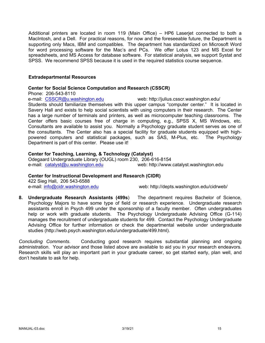Additional printers are located in room 119 (Main Office) – HP6 Laserjet connected to both a MacIntosh, and a Dell. For practical reasons, for now and the foreseeable future, the Department is supporting only Macs, IBM and compatibles. The department has standardized on Microsoft Word for word processing software for the Mac's and PCs. We offer Lotus 123 and MS Excel for spreadsheets, and MS Access for database software. For statistical analysis, we support Systat and SPSS. We recommend SPSS because it is used in the required statistics course sequence.

### **Extradepartmental Resources**

### **Center for Social Science Computation and Research (CSSCR)**

Phone: 206-543-8110

e-mail: CSSCR@u.washington.edu web: http://julius.csscr.washington.edu/

Students should familiarize themselves with this upper campus "computer center." It is located in Savery Hall and exists to help social scientists with using computers in their research. The Center has a large number of terminals and printers, as well as microcomputer teaching classrooms. The Center offers basic courses free of charge in computing, e.g., SPSS X, MS Windows, etc. Consultants are available to assist you. Normally a Psychology graduate student serves as one of the consultants. The Center also has a special facility for graduate students equipped with highpowered computers and statistical packages, such as SAS, M-Plus, etc. The Psychology Department is part of this center. Please use it!

### **Center for Teaching, Learning, & Technology (Catalyst)**

Odegaard Undergraduate Library (OUGL) room 230, 206-616-8154 e-mail: catalyst@u.washington.edu web: http://www.catalyst.washington.edu

### **Center for Instructional Development and Research (CIDR)**

422 Sieg Hall, 206 543-6588

e-mail: info@cidr.washington.edu web: http://depts.washington.edu/cidrweb/

**8. Undergraduate Research Assistants (499s**) The department requires Bachelor of Science, Psychology Majors to have some type of field or research experience. Undergraduate research assistants enroll in Psych 499 under the sponsorship of a faculty member. Often undergraduates help or work with graduate students. The Psychology Undergraduate Advising Office (G-114) manages the recruitment of undergraduate students for 499. Contact the Psychology Undergraduate Advising Office for further information or check the departmental website under undergraduate studies (http://web.psych.washington.edu/undergraduate/499.html).

*Concluding Comments*. Conducting good research requires substantial planning and ongoing administration. Your advisor and those listed above are available to aid you in your research endeavors. Research skills will play an important part in your graduate career, so get started early, plan well, and don't hesitate to ask for help.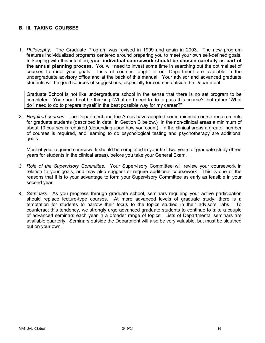### **B. III. TAKING COURSES**

1. *Philosophy.* The Graduate Program was revised in 1999 and again in 2003. The new program features individualized programs centered around preparing you to meet your own self-defined goals. In keeping with this intention, **your individual coursework should be chosen carefully as part of the annual planning process**. You will need to invest some time in searching out the optimal set of courses to meet your goals. Lists of courses taught in our Department are available in the undergraduate advisory office and at the back of this manual. Your advisor and advanced graduate students will be good sources of suggestions, especially for courses outside the Department.

Graduate School is not like undergraduate school in the sense that there is no set program to be completed. You should not be thinking "What do I need to do to pass this course?" but rather "What do I need to do to prepare myself in the best possible way for my career?"

2. *Required courses.* The Department and the Areas have adopted some minimal course requirements for graduate students (described in detail in Section C below.) In the non-clinical areas a minimum of about 10 courses is required (depending upon how you count). In the clinical areas a greater number of courses is required, and learning to do psychological testing and psychotherapy are additional goals.

Most of your required coursework should be completed in your first two years of graduate study (three years for students in the clinical areas), before you take your General Exam.

- *3. Role of the Supervisory Committee.* Your Supervisory Committee will review your coursework in relation to your goals, and may also suggest or require additional coursework. This is one of the reasons that it is to your advantage to form your Supervisory Committee as early as feasible in your second year.
- *4. Seminars.* As you progress through graduate school, seminars requiring your active participation should replace lecture-type courses. At more advanced levels of graduate study, there is a temptation for students to narrow their focus to the topics studied in their advisors' labs. To counteract this tendency, we strongly urge advanced graduate students to continue to take a couple of advanced seminars each year in a broader range of topics. Lists of Departmental seminars are available quarterly. Seminars outside the Department will also be very valuable, but must be sleuthed out on your own.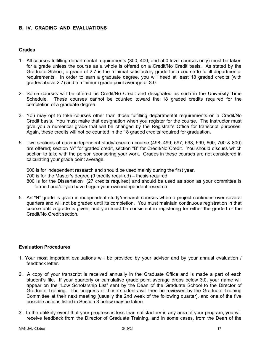### **B. IV. GRADING AND EVALUATIONS**

### **Grades**

- 1. All courses fulfilling departmental requirements (300, 400, and 500 level courses only) must be taken for a grade unless the course as a whole is offered on a Credit/No Credit basis. As stated by the Graduate School, a grade of 2.7 is the minimal satisfactory grade for a course to fulfill departmental requirements. In order to earn a graduate degree, you will need at least 18 graded credits (with grades above 2.7) and a minimum grade point average of 3.0.
- 2. Some courses will be offered as Credit/No Credit and designated as such in the University Time Schedule. These courses cannot be counted toward the 18 graded credits required for the completion of a graduate degree.
- 3. You may opt to take courses other than those fulfilling departmental requirements on a Credit/No Credit basis. You must make that designation when you register for the course. The instructor must give you a numerical grade that will be changed by the Registrar's Office for transcript purposes. Again, these credits will not be counted in the 18 graded credits required for graduation.
- 5. Two sections of each independent study/research course (498, 499, 597, 598, 599, 600, 700 & 800) are offered; section "A" for graded credit, section "B" for Credit/No Credit. You should discuss which section to take with the person sponsoring your work. Grades in these courses are not considered in calculating your grade point average.

600 is for independent research and should be used mainly during the first year. 700 is for the Master's degree (9 credits required) – thesis required 800 is for the Dissertation (27 credits required) and should be used as soon as your committee is formed and/or you have begun your own independent research

5. An "N" grade is given in independent study/research courses when a project continues over several quarters and will not be graded until its completion. You must maintain continuous registration in that course until a grade is given, and you must be consistent in registering for either the graded or the Credit/No Credit section.

### **Evaluation Procedures**

- 1. Your most important evaluations will be provided by your advisor and by your annual evaluation / feedback letter.
- 2. A copy of your transcript is received annually in the Graduate Office and is made a part of each student's file. If your quarterly or cumulative grade point average drops below 3.0, your name will appear on the "Low Scholarship List" sent by the Dean of the Graduate School to the Director of Graduate Training. The progress of those students will then be reviewed by the Graduate Training Committee at their next meeting (usually the 2nd week of the following quarter), and one of the five possible actions listed in Section 3 below may be taken.
- 3. In the unlikely event that your progress is less than satisfactory in any area of your program, you will receive feedback from the Director of Graduate Training, and in some cases, from the Dean of the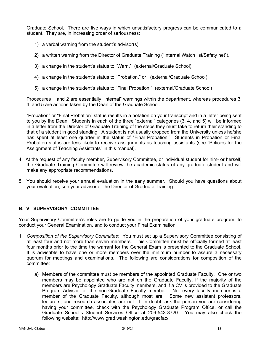Graduate School. There are five ways in which unsatisfactory progress can be communicated to a student. They are, in increasing order of seriousness:

- 1) a verbal warning from the student's advisor(s),
- 2) a written warning from the Director of Graduate Training ("Internal Watch list/Safety net"),
- 3) a change in the student's status to "Warn," (external/Graduate School)
- 4) a change in the student's status to "Probation," or (external/Graduate School)
- 5) a change in the student's status to "Final Probation." (external/Graduate School)

Procedures 1 and 2 are essentially "internal" warnings within the department, whereas procedures 3, 4, and 5 are actions taken by the Dean of the Graduate School.

"Probation" or "Final Probation" status results in a notation on your transcript and in a letter being sent to you by the Dean. Students in each of the three "external" categories (3, 4, and 5) will be informed in a letter from the Director of Graduate Training of the steps they must take to return their standing to that of a student in good standing. A student is not usually dropped from the University unless he/she has spent at least one quarter in the status of "Final Probation." Students in Probation or Final Probation status are less likely to receive assignments as teaching assistants (see "Policies for the Assignment of Teaching Assistants" in this manual).

- 4. At the request of any faculty member, Supervisory Committee, or individual student for him- or herself, the Graduate Training Committee will review the academic status of any graduate student and will make any appropriate recommendations.
- 5. You should receive your annual evaluation in the early summer. Should you have questions about your evaluation, see your advisor or the Director of Graduate Training.

## **B. V. SUPERVISORY COMMITTEE**

Your Supervisory Committee's roles are to guide you in the preparation of your graduate program, to conduct your General Examination, and to conduct your Final Examination.

- 1. *Composition of the Supervisory Committee*: You must set up a Supervisory Committee consisting of at least four and not more than seven members. This Committee must be officially formed at least four months prior to the time the warrant for the General Exam is presented to the Graduate School. It is advisable to have one or more members over the minimum number to assure a necessary quorum for meetings and examinations. The following are considerations for composition of the committee:
	- a) Members of the committee must be members of the appointed Graduate Faculty. One or two members may be appointed who are not on the Graduate Faculty, if the majority of the members are Psychology Graduate Faculty members, and if a CV is provided to the Graduate Program Advisor for the non-Graduate Faculty member. Not every faculty member is a member of the Graduate Faculty, although most are. Some new assistant professors, lecturers, and research associates are not. If in doubt, ask the person you are considering having your committee, check with the Psychology Graduate Program Office, or call the Graduate School's Student Services Office at 206-543-8720. You may also check the following website: http://www.grad.washington.edu/gradfac/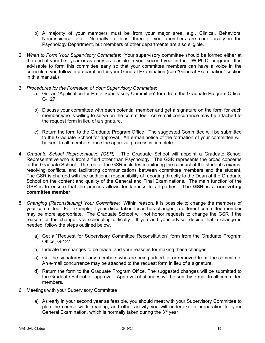- b) A majority of your members must be from your major area, e.g., Clinical, Behavioral Neuroscience, etc. Normally, at least three of your members are core faculty in the Psychology Department, but members of other departments are also eligible.
- 2. *When to Form Your Supervisory Committee*: Your supervisory committee should be formed either at the end of your first year or as early as feasible in your second year in the UW Ph.D. program. It is advisable to form this committee early so that your committee members can have a voice in the curriculum you follow in preparation for your General Examination (see "General Examination" section in this manual.)
- 3. *Procedures for the Formation of Your Supervisory Committee*:
	- a) Get an "Application for Ph.D. Supervisory Committee" form from the Graduate Program Office, G-127.
	- b) Discuss your committee with each potential member and get a signature on the form for each member who is willing to serve on the committee. An e-mail concurrence may be attached to the request form in lieu of a signature.
	- c) Return the form to the Graduate Program Office. The suggested Committee will be submitted to the Graduate School for approval. An e-mail notice of the formation of your committee will be sent to all members once the approval process is complete.
- 4. *Graduate School Representative (GSR)*: The Graduate School will appoint a Graduate School Representative who is from a field other than Psychology. The GSR represents the broad concerns of the Graduate School. The role of the GSR includes monitoring the conduct of the student's exams, resolving conflicts, and facilitating communications between committee members and the student. The GSR is charged with the additional responsibility of reporting directly to the Dean of the Graduate School on the content and quality of the General and Final Examinations. The main function of the GSR is to ensure that the process allows for fairness to all parties. **The GSR is a non-voting committee member**.
- 5. *Changing (Reconstituting) Your Committee*: Within reason, it is possible to change the members of your committee. For example, if your dissertation focus has changed, a different committee member may be more appropriate. The Graduate School will not honor requests to change the GSR if the reason for the change is a scheduling difficulty. If you and your advisor decide that a change is needed, follow the steps outlined below.
	- a) Get a "Request for Supervisory Committee Reconstitution" form from the Graduate Program Office, G-127.
	- b) Indicate the changes to be made, and your reasons for making these changes.
	- c) Get the signatures of any members who are being added to, or removed from, the committee. An e-mail concurrence may be attached to the request form in lieu of a signature.
	- d) Return the form to the Graduate Program Office. The suggested changes will be submitted to the Graduate School for approval. Approval of changes will be sent by e-mail to all committee members.
- 6. Meetings with your Supervisory Committee
	- a) As early in your second year as feasible, you should meet with your Supervisory Committee to plan the course work, reading, and other activity you will undertake in preparation for your General Examination, which is normally taken during the  $3<sup>rd</sup>$  year.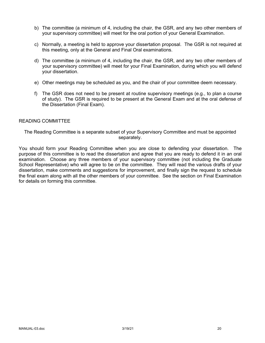- b) The committee (a minimum of 4, including the chair, the GSR, and any two other members of your supervisory committee) will meet for the oral portion of your General Examination.
- c) Normally, a meeting is held to approve your dissertation proposal. The GSR is not required at this meeting, only at the General and Final Oral examinations.
- d) The committee (a minimum of 4, including the chair, the GSR, and any two other members of your supervisory committee) will meet for your Final Examination, during which you will defend your dissertation.
- e) Other meetings may be scheduled as you, and the chair of your committee deem necessary.
- f) The GSR does not need to be present at routine supervisory meetings (e.g., to plan a course of study). The GSR is required to be present at the General Exam and at the oral defense of the Dissertation (Final Exam).

### READING COMMITTEE

The Reading Committee is a separate subset of your Supervisory Committee and must be appointed separately.

You should form your Reading Committee when you are close to defending your dissertation. The purpose of this committee is to read the dissertation and agree that you are ready to defend it in an oral examination. Choose any three members of your supervisory committee (not including the Graduate School Representative) who will agree to be on the committee. They will read the various drafts of your dissertation, make comments and suggestions for improvement, and finally sign the request to schedule the final exam along with all the other members of your committee. See the section on Final Examination for details on forming this committee.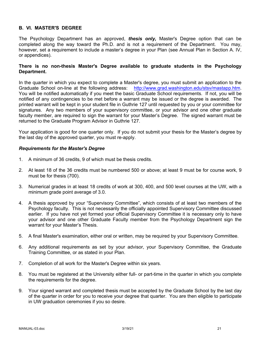### **B. VI. MASTER'S DEGREE**

The Psychology Department has an approved, *thesis only,* Master's Degree option that can be completed along the way toward the Ph.D. and is not a requirement of the Department. You may, however, set a requirement to include a master's degree in your Plan (see Annual Plan in Section A. IV, or appendices).

### **There is no non-thesis Master's Degree available to graduate students in the Psychology Department.**

In the quarter in which you expect to complete a Master's degree, you must submit an application to the Graduate School on-line at the following address: http://www.grad.washington.edu/stsv/mastapp.htm. You will be notified automatically if you meet the basic Graduate School requirements. If not, you will be notified of any contingencies to be met before a warrant may be issued or the degree is awarded. The printed warrant will be kept in your student file in Guthrie 127 until requested by you or your committee for signatures. Any two members of your supervisory committee, or your advisor and one other graduate faculty member, are required to sign the warrant for your Master's Degree. The signed warrant must be returned to the Graduate Program Advisor in Guthrie 127.

Your application is good for one quarter only. If you do not submit your thesis for the Master's degree by the last day of the approved quarter, you must re-apply.

### *Requirements for the Master's Degree*

- 1. A minimum of 36 credits, 9 of which must be thesis credits.
- 2. At least 18 of the 36 credits must be numbered 500 or above; at least 9 must be for course work, 9 must be for thesis (700).
- 3. Numerical grades in at least 18 credits of work at 300, 400, and 500 level courses at the UW, with a minimum grade point average of 3.0.
- 4. A thesis approved by your "Supervisory Committee", which consists of at least two members of the Psychology faculty. This is not necessarily the officially appointed Supervisory Committee discussed earlier. If you have not yet formed your official Supervisory Committee it is necessary only to have your advisor and one other Graduate Faculty member from the Psychology Department sign the warrant for your Master's Thesis.
- 5. A final Master's examination, either oral or written, may be required by your Supervisory Committee.
- 6. Any additional requirements as set by your advisor, your Supervisory Committee, the Graduate Training Committee, or as stated in your Plan.
- 7. Completion of all work for the Master's Degree within six years.
- 8. You must be registered at the University either full- or part-time in the quarter in which you complete the requirements for the degree.
- 9. Your signed warrant and completed thesis must be accepted by the Graduate School by the last day of the quarter in order for you to receive your degree that quarter. You are then eligible to participate in UW graduation ceremonies if you so desire.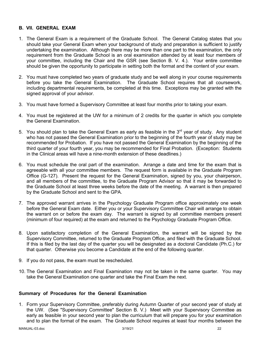### **B. VII. GENERAL EXAM**

- 1. The General Exam is a requirement of the Graduate School. The General Catalog states that you should take your General Exam when your background of study and preparation is sufficient to justify undertaking the examination. Although there may be more than one part to the examination, the only requirement from the Graduate School is an oral examination attended by at least four members of your committee, including the Chair and the GSR (see Section B. V. 4.). Your entire committee should be given the opportunity to participate in setting both the format and the content of your exam.
- 2. You must have completed two years of graduate study and be well along in your course requirements before you take the General Examination. The Graduate School requires that all coursework, including departmental requirements, be completed at this time. Exceptions may be granted with the signed approval of your advisor.
- 3. You must have formed a Supervisory Committee at least four months prior to taking your exam.
- 4. You must be registered at the UW for a minimum of 2 credits for the quarter in which you complete the General Examination.
- 5. You should plan to take the General Exam as early as feasible in the  $3<sup>rd</sup>$  year of study. Any student who has not passed the General Examination prior to the beginning of the fourth year of study may be recommended for Probation. If you have not passed the General Examination by the beginning of the third quarter of your fourth year, you may be recommended for Final Probation. (Exception: Students in the Clinical areas will have a nine-month extension of these deadlines.)
- 6. You must schedule the oral part of the examination. Arrange a date and time for the exam that is agreeable with all your committee members. The request form is available in the Graduate Program Office (G-127). Present the request for the General Examination, signed by you, your chairperson, and all members of the committee, to the Graduate Program Advisor so that it may be forwarded to the Graduate School at least three weeks before the date of the meeting. A warrant is then prepared by the Graduate School and sent to the GPA.
- 7. The approved warrant arrives in the Psychology Graduate Program office approximately one week before the General Exam date. Either you or your Supervisory Committee Chair will arrange to obtain the warrant on or before the exam day. The warrant is signed by all committee members present (minimum of four required) at the exam and returned to the Psychology Graduate Program Office.
- 8. Upon satisfactory completion of the General Examination, the warrant will be signed by the Supervisory Committee, returned to the Graduate Program Office, and filed with the Graduate School. If this is filed by the last day of the quarter you will be designated as a doctoral Candidate (Ph.C.) for that quarter. Otherwise you become a Candidate at the end of the following quarter.
- 9. If you do not pass, the exam must be rescheduled.
- 10. The General Examination and Final Examination may not be taken in the same quarter. You may take the General Examination one quarter and take the Final Exam the next.

### **Summary of Procedures for the General Examination**

1. Form your Supervisory Committee, preferably during Autumn Quarter of your second year of study at the UW. (See "Supervisory Committee" Section B. V.) Meet with your Supervisory Committee as early as feasible in your second year to plan the curriculum that will prepare you for your examination and to plan the format of the exam. The Graduate School requires at least four months between the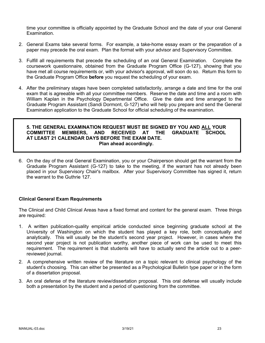time your committee is officially appointed by the Graduate School and the date of your oral General Examination.

- 2. General Exams take several forms. For example, a take-home essay exam or the preparation of a paper may precede the oral exam. Plan the format with your advisor and Supervisory Committee.
- 3. Fulfill all requirements that precede the scheduling of an oral General Examination. Complete the coursework questionnaire, obtained from the Graduate Program Office (G-127), showing that you have met all course requirements or, with your advisor's approval, will soon do so. Return this form to the Graduate Program Office **before** you request the scheduling of your exam.
- 4. After the preliminary stages have been completed satisfactorily, arrange a date and time for the oral exam that is agreeable with all your committee members. Reserve the date and time and a room with William Kaplan in the Psychology Departmental Office. Give the date and time arranged to the Graduate Program Assistant (Sandi Dormont, G-127) who will help you prepare and send the General Examination application to the Graduate School for official scheduling of the examination.

#### **5. THE GENERAL EXAMINATION REQUEST MUST BE SIGNED BY YOU AND ALL YOUR COMMITTEE MEMBERS, AND RECEIVED AT THE GRADUATE SCHOOL AT LEAST 21 CALENDAR DAYS BEFORE THE EXAM DATE. Plan ahead accordingly.**

6. On the day of the oral General Examination, you or your Chairperson should get the warrant from the Graduate Program Assistant (G-127) to take to the meeting, if the warrant has not already been placed in your Supervisory Chair's mailbox. After your Supervisory Committee has signed it, return the warrant to the Guthrie 127.

### **Clinical General Exam Requirements**

The Clinical and Child Clinical Areas have a fixed format and content for the general exam. Three things are required:

- 1. A written publication-quality empirical article conducted since beginning graduate school at the University of Washington on which the student has played a key role, both conceptually and analytically. This will usually be the student's second year project. However, in cases where the second year project is not publication worthy, another piece of work can be used to meet this requirement. The requirement is that students will have to actually send the article out to a peerreviewed journal.
- 2. A comprehensive written review of the literature on a topic relevant to clinical psychology of the student's choosing. This can either be presented as a Psychological Bulletin type paper or in the form of a dissertation proposal.
- 3. An oral defense of the literature review/dissertation proposal. This oral defense will usually include both a presentation by the student and a period of questioning from the committee.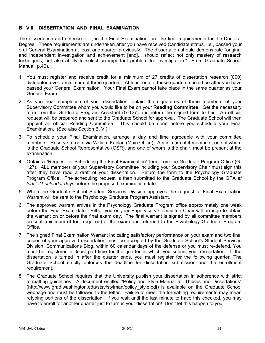### **B. VIII. DISSERTATION AND FINAL EXAMINATION**

The dissertation and defense of it, in the Final Examination, are the final requirements for the Doctoral Degree. These requirements are undertaken after you have received Candidate status, i.e., passed your oral General Examination at least one quarter previously. The dissertation should demonstrate "original and independent investigation and achievement [and]... should reflect not only mastery of research techniques, but also ability to select an important problem for investigation." From Graduate School Manual, p.46).

- 1. You must register and receive credit for a minimum of 27 credits of dissertation research (800) distributed over a minimum of three quarters. At least one of these quarters should be after you have passed your General Examination. Your Final Exam cannot take place in the same quarter as your General Exam.
- 2. As you near completion of your dissertation, obtain the signatures of three members of your Supervisory Committee whom you would like to be on your **Reading Committee**. Get the necessary form from the Graduate Program Assistant (G-127) and return the signed form to her. An official request will be prepared and sent to the Graduate School for approval. The Graduate School will then appoint an official Reading Committee. This should be done before you schedule your Final Examination. (See also Section B. V.)
- 3. To schedule your Final Examination, arrange a day and time agreeable with your committee members. Reserve a room via William Kaplan (Main Office). A minimum of 4 members, one of whom is the Graduate School Representative (GSR), and one of whom is the chair, must be present at the examination.
- 4. Obtain a "Request for Scheduling the Final Examination" form from the Graduate Program Office (G-127). ALL members of your Supervisory Committee including your Supervisory Chair must sign this after they have read a draft of your dissertation. Return the form to the Psychology Graduate Program Office. The scheduling request is then submitted to the Graduate School by the GPA *at least 21 calendar days* before the proposed examination date.
- 5. When the Graduate School Student Services Division approves the request, a Final Examination Warrant will be sent to the Psychology Graduate Program Assistant.
- 6. The approved warrant arrives in the Psychology Graduate Program office approximately one week before the Final Exam date. Either you or your Supervisory Committee Chair will arrange to obtain the warrant on or before the final exam day. The final warrant is signed by all committee members present (minimum of four required) at the exam and returned to the Psychology Graduate Program Office.
- 7. The signed Final Examination Warrant indicating satisfactory performance on your exam and two final copies of your approved dissertation must be accepted by the Graduate School's Student Services Division, Communications Bldg, within 60 calendar days of the defense or you must re-defend. You must be registered at least part-time for the quarter in which you submit your dissertation. If the dissertation is turned in after the quarter ends, you must register for the following quarter. The Graduate School strictly enforces the deadline for dissertation submission and the enrollment requirement.
- 8. The Graduate School requires that the University publish your dissertation in adherence with strict formatting guidelines. A document entitled "Policy and Style Manual for Theses and Dissertations" (http://www.grad.washington.edu/stsv/stylman/policy\_style.pdf) is available on the Graduate School webpage and must be followed to the letter. Failure to meet the formatting requirements may mean retyping portions of the dissertation. If you wait until the last minute to have this checked, you may have to enroll for another quarter just to turn in your dissertation! Don't let this happen to you.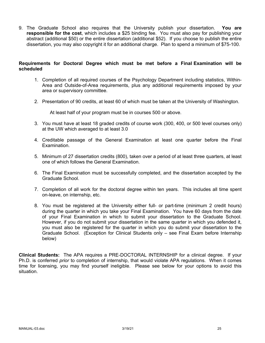9. The Graduate School also requires that the University publish your dissertation. **You are responsible for the cost**, which includes a \$25 binding fee. You must also pay for publishing your abstract (additional \$50) or the entire dissertation (additional \$52). If you choose to publish the entire dissertation, you may also copyright it for an additional charge. Plan to spend a minimum of \$75-100.

### **Requirements for Doctoral Degree which must be met before a Final Examination will be scheduled**

- 1. Completion of all required courses of the Psychology Department including statistics, Within-Area and Outside-of-Area requirements, plus any additional requirements imposed by your area or supervisory committee.
- 2. Presentation of 90 credits, at least 60 of which must be taken at the University of Washington.

At least half of your program must be in courses 500 or above.

- 3. You must have at least 18 graded credits of course work (300, 400, or 500 level courses only) at the UW which averaged to at least 3.0
- 4. Creditable passage of the General Examination at least one quarter before the Final Examination.
- 5. Minimum of 27 dissertation credits (800), taken over a period of at least three quarters, at least one of which follows the General Examination.
- 6. The Final Examination must be successfully completed, and the dissertation accepted by the Graduate School.
- 7. Completion of all work for the doctoral degree within ten years. This includes all time spent on-leave, on internship, etc.
- 8. You must be registered at the University either full- or part-time (minimum 2 credit hours) during the quarter in which you take your Final Examination. You have 60 days from the date of your Final Examination in which to submit your dissertation to the Graduate School. However, if you do not submit your dissertation in the same quarter in which you defended it, you must also be registered for the quarter in which you do submit your dissertation to the Graduate School. (Exception for Clinical Students only – see Final Exam before Internship below)

**Clinical Students:** The APA requires a PRE-DOCTORAL INTERNSHIP for a clinical degree. If your Ph.D. is conferred *prior* to completion of internship, that would violate APA regulations. When it comes time for licensing, you may find yourself ineligible. Please see below for your options to avoid this situation.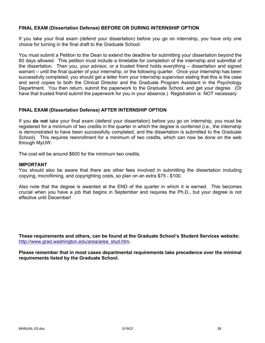### **FINAL EXAM (Dissertation Defense) BEFORE OR DURING INTERNSHIP OPTION**

If you take your final exam (defend your dissertation) before you go on internship, you have only one choice for turning in the final draft to the Graduate School:

You must submit a Petition to the Dean to extend the deadline for submitting your dissertation beyond the 60 days allowed. This petition must include a timetable for completion of the internship and submittal of the dissertation. Then you, your advisor, or a trusted friend holds everything – dissertation and signed warrant – until the final quarter of your internship, or the following quarter. Once your internship has been successfully completed, you should get a letter from your internship supervisor stating that this is the case and send copies to both the Clinical Director and the Graduate Program Assistant in the Psychology Department. You then return, submit the paperwork to the Graduate School, and get your degree. (Or have that trusted friend submit the paperwork for you in your absence.) Registration is NOT necessary.

### **FINAL EXAM (Dissertation Defense) AFTER INTERNSHIP OPTION**

If you **do not** take your final exam (defend your dissertation) before you go on internship, you must be registered for a minimum of two credits in the quarter in which the degree is conferred (i.e., the internship is demonstrated to have been successfully completed, and the dissertation is submitted to the Graduate School). This requires reenrollment for a minimum of two credits, which can now be done on the web through MyUW.

The cost will be around \$600 for the minimum two credits.

#### **IMPORTANT**

You should also be aware that there are other fees involved in submitting the dissertation including copying, microfilming, and copyrighting costs, so plan on an extra \$75 - \$100.

Also note that the degree is awarded at the END of the quarter in which it is earned. This becomes crucial when you have a job that begins in September and requires the Ph.D., but your degree is not effective until December!

**These requirements and others, can be found at the Graduate School's Student Services website:** http://www.grad.washington.edu/area/area\_stud.htm**.**

**Please remember that in most cases departmental requirements take precedence over the minimal requirements listed by the Graduate School.**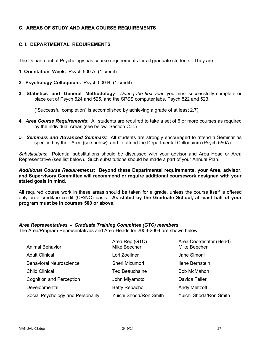### **C. AREAS OF STUDY AND AREA COURSE REQUIREMENTS**

### **C. I. DEPARTMENTAL REQUIREMENTS**

The Department of Psychology has course requirements for all graduate students. They are:

- **1. Orientation Week.** Psych 500 A (1 credit)
- **2. Psychology Colloquium.** Psych 500 B (1 credit)
- **3. Statistics and General Methodology**: *During the first year*, you must successfully complete or place out of Psych 524 and 525, and the SPSS computer labs, Psych 522 and 523.

("Successful completion" is accomplished by achieving a grade of at least 2.7).

- **4.** *Area Course Requirements*: All students are required to take a set of 6 or more courses as required by the individual Areas (see below, Section C.II.)
- *5. Seminars and Advanced Seminars*: All students are strongly encouraged to attend a Seminar as specified by their Area (see below), and to attend the Departmental Colloquium (Psych 550A).

*Substitutions*: Potential substitutions should be discussed with your advisor and Area Head or Area Representative (see list below). Such substitutions should be made a part of your Annual Plan.

*Additional Course Requirements***: Beyond these Departmental requirements, your Area, advisor, and Supervisory Committee will recommend or require additional coursework designed with your stated goals in mind.**

All required course work in these areas should be taken for a grade, unless the course itself is offered only on a credit/no credit (CR/NC) basis. **As stated by the Graduate School, at least half of your program must be in courses 500 or above.**

## *Area Representatives - Graduate Training Committee (GTC) members*

The Area/Program Representatives and Area Heads for 2003-2004 are shown below

|                                   | Area Rep (GTC)         | Area Coordinator (Head) |
|-----------------------------------|------------------------|-------------------------|
| <b>Animal Behavior</b>            | Mike Beecher           | Mike Beecher            |
| <b>Adult Clinical</b>             | Lori Zoellner          | Jane Simoni             |
| <b>Behavioral Neuroscience</b>    | Sheri Mizumori         | Ilene Bernstein         |
| <b>Child Clinical</b>             | <b>Ted Beauchaine</b>  | <b>Bob McMahon</b>      |
| <b>Cognition and Perception</b>   | John Miyamoto          | Davida Teller           |
| Developmental                     | <b>Betty Repacholi</b> | <b>Andy Meltzoff</b>    |
| Social Psychology and Personality | Yuichi Shoda/Ron Smith | Yuichi Shoda/Ron Smith  |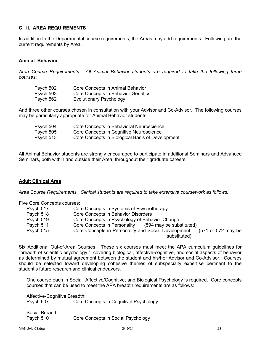### **C. II. AREA REQUIREMENTS**

In addition to the Departmental course requirements, the Areas may add requirements. Following are the current requirements by Area.

### **Animal Behavior**

*Area Course Requirements. All Animal Behavior students are required to take the following three courses*:

| Psych 502 | Core Concepts in Animal Behavior   |
|-----------|------------------------------------|
| Psych 503 | Core Concepts in Behavior Genetics |
| Psych 562 | <b>Evolutionary Psychology</b>     |

And three other courses chosen in consultation with your Advisor and Co-Advisor. The following courses may be particularly appropriate for Animal Behavior students:

| Psych 504 | Core Concepts in Behavioral Neuroscience         |
|-----------|--------------------------------------------------|
| Psych 505 | Core Concepts in Cognitive Neuroscience          |
| Psych 513 | Core Concepts in Biological Basis of Development |

All Animal Behavior students are strongly encouraged to participate in additional Seminars and Advanced Seminars, both within and outside their Area, throughout their graduate careers.

### **Adult Clinical Area**

*Area Course Requirements. Clinical students are required to take extensive coursework as follows:*

Five Core Concepts courses:

| Psych 517 | Core Concepts in Systems of Psychotherapy                                 |
|-----------|---------------------------------------------------------------------------|
| Psych 518 | Core Concepts in Behavior Disorders                                       |
| Psych 519 | Core Concepts in Psychology of Behavior Change                            |
| Psych 511 | (594 may be substituted)<br>Core Concepts in Personality                  |
| Psych 515 | Core Concepts in Personality and Social Development<br>(571 or 572 may be |
|           | substituted)                                                              |

Six Additional Out-of-Area Courses: These six courses must meet the APA curriculum guidelines for "breadth of scientific psychology," covering biological, affective-cognitive, and social aspects of behavior as determined by mutual agreement between the student and his/her Advisor and Co-Advisor. Courses should be selected toward developing cohesive themes of subspecialty expertise pertinent to the student's future research and clinical endeavors.

One course each in Social, Affective/Cognitive, and Biological Psychology is required. Core concepts courses that can be used to meet the APA breadth requirements are as follows:

Affective-Cognitive Breadth: Psych 507 Core Concepts in Cognitivel Psychology

Social Breadth: Psych 510 Core Concepts in Social Psychology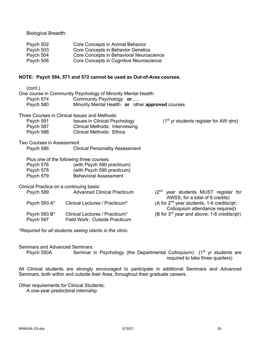Biological Breadth:

| Psych 502 | Core Concepts in Animal Behavior         |
|-----------|------------------------------------------|
| Psych 503 | Core Concepts in Behavior Genetics       |
| Psych 504 | Core Concepts in Behavioral Neuroscience |
| Psych 506 | Core Concepts in Cognitive Neuroscience  |

### **NOTE: Psych 594, 571 and 572 cannot be used as Out-of-Area courses.**

| (cont.)                                  |                                                               |                                                                                           |
|------------------------------------------|---------------------------------------------------------------|-------------------------------------------------------------------------------------------|
|                                          | One course in Community Psychology of Minority Mental Health: |                                                                                           |
| Psych 574                                | Community Psychology or                                       |                                                                                           |
| Psych 580                                | Minority Mental Health or other approved courses              |                                                                                           |
|                                          | Three Courses in Clinical Issues and Methods:                 |                                                                                           |
| Psych 591                                | <b>Issues in Clinical Psychology</b>                          | $(1st$ yr students register for AW qtrs)                                                  |
| Psych 587                                | Clinical Methods: Interviewing                                |                                                                                           |
| Psych 588                                | <b>Clinical Methods: Ethics</b>                               |                                                                                           |
| Two Courses in Assessment                |                                                               |                                                                                           |
| Psych 586                                | <b>Clinical Personality Assessment</b>                        |                                                                                           |
|                                          | Plus one of the following three courses:                      |                                                                                           |
| Psych 576 <b>Pro</b>                     | (with Psych 590 practicum)                                    |                                                                                           |
| Psych 578                                | (with Psych 590 practicum)                                    |                                                                                           |
| Psych 579                                | <b>Behavioral Assessment</b>                                  |                                                                                           |
| Clinical Practica on a continuing basis: |                                                               |                                                                                           |
| Psych 589                                | <b>Advanced Clinical Practicum</b>                            | $(2^{nd}$ year students MUST register for<br>AWSS, for a total of 8 credits)              |
| Psych 593 A*                             | Clinical Lectures / Practicum*                                | (A for 2 <sup>nd</sup> year students, 1-6 credits/qtr;<br>Colloquium attendance required) |
| Psych 593 B*                             | Clinical Lectures / Practicum*                                | (B for 3 <sup>rd</sup> year and above; 1-6 credits/qtr)                                   |
| Psych 597                                | Field Work: Outside Practicum                                 |                                                                                           |
|                                          |                                                               |                                                                                           |

*\*Required for all students seeing clients in the clinic.*

Seminars and Advanced Seminars:

Psych 550A Seminar in Psychology (the Departmental Colloquium) (1<sup>st</sup> yr students are required to take three quarters)

All Clinical students are strongly encouraged to participate in additional Seminars and Advanced Seminars, both within and outside their Area, throughout their graduate careers.

Other requirements for Clinical Students:

A one-year predoctoral internship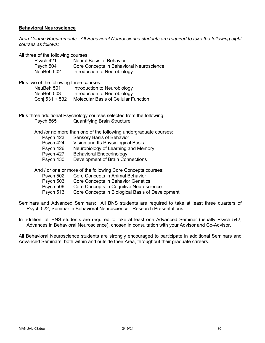### **Behavioral Neuroscience**

*Area Course Requirements. All Behavioral Neuroscience students are required to take the following eight courses as follows*:

All three of the following courses:

| Psych 421  | <b>Neural Basis of Behavior</b>          |
|------------|------------------------------------------|
| Psych 504  | Core Concepts in Behavioral Neuroscience |
| NeuBeh 502 | Introduction to Neurobiology             |

Plus two of the following three courses:

| NeuBeh 501     | Introduction to Neurobiology                |
|----------------|---------------------------------------------|
| NeuBeh 503     | Introduction to Neurobiology                |
| Conj 531 + 532 | <b>Molecular Basis of Cellular Function</b> |

Plus three additional Psychology courses selected from the following: Psych 565 Quantifying Brain Structure

And /or no more than one of the following undergraduate courses:

Psych 423 Sensory Basis of Behavior<br>Psych 424 Vision and Its Physiologica Vision and Its Physiological Basis Psych 426 Neurobiology of Learning and Memory Psych 427 Behavioral Endocrinology Psych 430 Development of Brain Connections

And / or one or more of the following Core Concepts courses:

- Psych 502 Core Concepts in Animal Behavior
- Psych 503 Core Concepts in Behavior Genetics
- Psych 506 Core Concepts in Cognitive Neuroscience
- Psych 513 Core Concepts in Biological Basis of Development

Seminars and Advanced Seminars: All BNS students are required to take at least three quarters of Psych 522, Seminar in Behavioral Neuroscience: Research Presentations

In addition, all BNS students are required to take at least one Advanced Seminar (usually Psych 542, Advances in Behavioral Neuroscience), chosen in consultation with your Advisor and Co-Advisor.

All Behavioral Neuroscience students are strongly encouraged to participate in additional Seminars and Advanced Seminars, both within and outside their Area, throughout their graduate careers.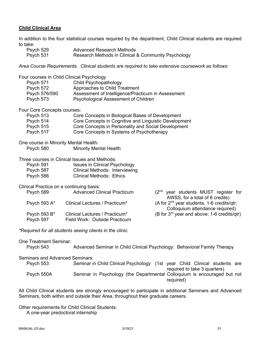### **Child Clinical Area**

In addition to the four statistical courses required by the department, Child Clinical students are required to take:

| Psych 529 | Advanced Research Methods                           |
|-----------|-----------------------------------------------------|
| Psych 531 | Research Methods in Clinical & Community Psychology |

*Area Course Requirements. Clinical students are required to take extensive coursework as follows:*

| Psych 571<br>Psych 572<br>Psych 576/590<br>Psych 573 | Four courses in Child Clinical Psychology<br>Child Psychopathology<br>Approaches to Child Treatment<br>Assessment of Intelligence/Practicum in Assessment<br>Psychological Assessment of Children |                                                                                       |
|------------------------------------------------------|---------------------------------------------------------------------------------------------------------------------------------------------------------------------------------------------------|---------------------------------------------------------------------------------------|
| Four Core Concepts courses:                          |                                                                                                                                                                                                   |                                                                                       |
| Psych 513                                            | Core Concepts in Biological Bases of Development                                                                                                                                                  |                                                                                       |
| Psych 514                                            | Core Concepts in Cognitive and Linguistic Development                                                                                                                                             |                                                                                       |
| Psych 515<br>Psych 517                               | Core Concepts in Personality and Social Development<br>Core Concepts in Systems of Psychotherapy                                                                                                  |                                                                                       |
|                                                      |                                                                                                                                                                                                   |                                                                                       |
| One course in Minority Mental Health:                |                                                                                                                                                                                                   |                                                                                       |
| Psych 580                                            | <b>Minority Mental Health</b>                                                                                                                                                                     |                                                                                       |
|                                                      |                                                                                                                                                                                                   |                                                                                       |
| Psych 591                                            | Three courses in Clinical Issues and Methods:<br><b>Issues in Clinical Psychology</b>                                                                                                             |                                                                                       |
| Psych 587                                            | <b>Clinical Methods: Interviewing</b>                                                                                                                                                             |                                                                                       |
| Psych 588                                            | <b>Clinical Methods: Ethics</b>                                                                                                                                                                   |                                                                                       |
|                                                      |                                                                                                                                                                                                   |                                                                                       |
| Clinical Practica on a continuing basis:             |                                                                                                                                                                                                   |                                                                                       |
| Psych 589                                            | <b>Advanced Clinical Practicum</b>                                                                                                                                                                | (2 <sup>nd</sup> year students MUST register for<br>AWSS, for a total of 8 credits)   |
| Psych 593 A*                                         | Clinical Lectures / Practicum*                                                                                                                                                                    | (A for 2 <sup>nd</sup> year students, 1-6 credits/qtr;                                |
|                                                      |                                                                                                                                                                                                   | Colloquium attendance required)                                                       |
| Psych 593 B*                                         | Clinical Lectures / Practicum*                                                                                                                                                                    | (B for 3 <sup>rd</sup> year and above; 1-6 credits/qtr)                               |
| Psych 597                                            | Field Work: Outside Practicum                                                                                                                                                                     |                                                                                       |
|                                                      | *Required for all students seeing clients in the clinic.                                                                                                                                          |                                                                                       |
| <b>One Treatment Seminar:</b>                        |                                                                                                                                                                                                   |                                                                                       |
| Psych 543                                            |                                                                                                                                                                                                   | Advanced Seminar in Child Clinical Psychology: Behavioral Family Therapy              |
| <b>Seminars and Advanced Seminars:</b>               |                                                                                                                                                                                                   |                                                                                       |
| Psych 553                                            |                                                                                                                                                                                                   | Seminar in Child Clinical Psychology (1st year Child Clinical students are            |
|                                                      |                                                                                                                                                                                                   | required to take 3 quarters)                                                          |
| Psych 550A                                           |                                                                                                                                                                                                   | Seminar in Psychology (the Departmental Colloquium is encouraged but not<br>required) |

All Child Clinical students are strongly encouraged to participate in additional Seminars and Advanced Seminars, both within and outside their Area, throughout their graduate careers.

Other requirements for Child Clinical Students:

A one-year predoctoral internship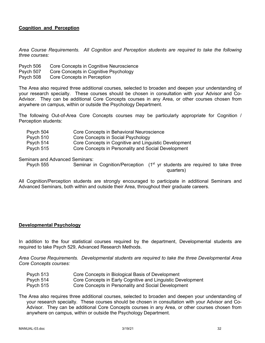### **Cognition and Perception**

*Area Course Requirements. All Cognition and Perception students are required to take the following three courses:*

- Psych 506 Core Concepts in Cognitive Neuroscience
- Psych 507 Core Concepts in Cognitive Psychology
- Psych 508 Core Concepts in Perception

The Area also required three additional courses, selected to broaden and deepen your understanding of your research specialty. These courses should be chosen in consultation with your Advisor and Co-Advisor. They can be additional Core Concepts courses in any Area, or other courses chosen from anywhere on campus, within or outside the Psychology Department.

The following Out-of-Area Core Concepts courses may be particularly appropriate for Cognition / Perception students:

| Psych 504 | Core Concepts in Behavioral Neuroscience              |
|-----------|-------------------------------------------------------|
| Psych 510 | Core Concepts in Social Psychology                    |
| Psych 514 | Core Concepts in Cognitive and Linguistic Development |
| Psych 515 | Core Concepts in Personality and Social Development   |

Seminars and Advanced Seminars:

Psych 555 Seminar in Cognition/Perception  $(1<sup>st</sup>$  yr students are required to take three quarters)

All Cognition/Perception students are strongly encouraged to participate in additional Seminars and Advanced Seminars, both within and outside their Area, throughout their graduate careers.

#### **Developmental Psychology**

In addition to the four statistical courses required by the department, Developmental students are required to take Psych 529, Advanced Research Methods.

*Area Course Requirements. Developmental students are required to take the three Developmental Area Core Concepts courses:*

| Psych 513 | Core Concepts in Biological Basis of Development            |
|-----------|-------------------------------------------------------------|
| Psych 514 | Core Concepts in Early Cognitive and Linguistic Development |
| Psych 515 | Core Concepts in Personality and Social Development         |

The Area also requires three additional courses, selected to broaden and deepen your understanding of your research specialty. These courses should be chosen in consultation with your Advisor and Co-Advisor. They can be additional Core Concepts courses in any Area, or other courses chosen from anywhere on campus, within or outside the Psychology Department.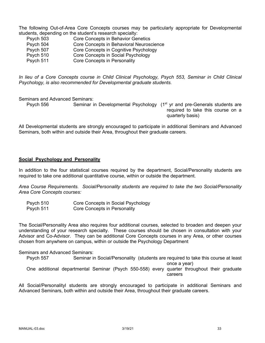The following Out-of-Area Core Concepts courses may be particularly appropriate for Developmental students, depending on the student's research specialty:

| Psych 503 | Core Concepts in Behavior Genetics       |
|-----------|------------------------------------------|
| Psych 504 | Core Concepts in Behavioral Neuroscience |
| Psych 507 | Core Concepts in Cognitive Psychology    |
| Psych 510 | Core Concepts in Social Psychology       |
| Psych 511 | Core Concepts in Personality             |

*In lieu of a Core Concepts course in Child Clinical Psychology, Psych 553, Seminar in Child Clinical Psychology, is also recommended for Developmental graduate students.*

Seminars and Advanced Seminars:

Psych 556 Seminar in Developmental Psychology (1<sup>st</sup> yr and pre-Generals students are required to take this course on a quarterly basis)

All Developmental students are strongly encouraged to participate in additional Seminars and Advanced Seminars, both within and outside their Area, throughout their graduate careers.

### **Social Psychology and Personality**

In addition to the four statistical courses required by the department, Social/Personality students are required to take one additional quantitative course, within or outside the department.

*Area Course Requirements. Social/Personality students are required to take the two Social/Personality Area Core Concepts courses:*

| Psych 510 | Core Concepts in Social Psychology |
|-----------|------------------------------------|
| Psych 511 | Core Concepts in Personality       |

The Social/Personality Area also requires four additional courses, selected to broaden and deepen your understanding of your research specialty. These courses should be chosen in consultation with your Advisor and Co-Advisor. They can be additional Core Concepts courses in any Area, or other courses chosen from anywhere on campus, within or outside the Psychology Department

### Seminars and Advanced Seminars:

Psych 557 Seminar in Social/Personality (students are required to take this course at least once a year) One additional departmental Seminar (Psych 550-558) every quarter throughout their graduate careers

All Social/Personalityl students are strongly encouraged to participate in additional Seminars and Advanced Seminars, both within and outside their Area, throughout their graduate careers.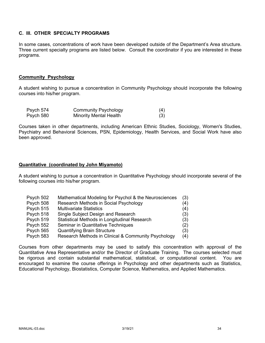## **C. III. OTHER SPECIALTY PROGRAMS**

In some cases, concentrations of work have been developed outside of the Department's Area structure. Three current specialty programs are listed below. Consult the coordinator if you are interested in these programs.

### **Community Psychology**

A student wishing to pursue a concentration in Community Psychology should incorporate the following courses into his/her program.

| Psych 574 | <b>Community Psychology</b> | (4) |
|-----------|-----------------------------|-----|
| Psych 580 | Minority Mental Health      | (3) |

Courses taken in other departments, including American Ethnic Studies, Sociology, Women's Studies, Psychiatry and Behavioral Sciences, PSN, Epidemiology, Health Services, and Social Work have also been approved.

### **Quantitative (coordinated by John Miyamoto)**

A student wishing to pursue a concentration in Quantitative Psychology should incorporate several of the following courses into his/her program.

| Psych 502 | Mathematical Modeling for Psychol & the Neurosciences | (3) |
|-----------|-------------------------------------------------------|-----|
| Psych 508 | Research Methods in Social Psychology                 | (4) |
| Psych 515 | <b>Multivariate Statistics</b>                        | (4) |
| Psych 518 | Single Subject Design and Research                    | (3) |
| Psych 519 | Statistical Methods in Longitudinal Research          | (3) |
| Psych 552 | Seminar in Quantitative Techniques                    | (2) |
| Psych 565 | <b>Quantifying Brain Structure</b>                    | (3) |
| Psych 583 | Research Methods in Clinical & Community Psychology   | (4) |

Courses from other departments may be used to satisfy this concentration with approval of the Quantitative Area Representative and/or the Director of Graduate Training. The courses selected must be rigorous and contain substantial mathematical, statistical, or computational content. You are encouraged to examine the course offerings in Psychology and other departments such as Statistics, Educational Psychology, Biostatistics, Computer Science, Mathematics, and Applied Mathematics.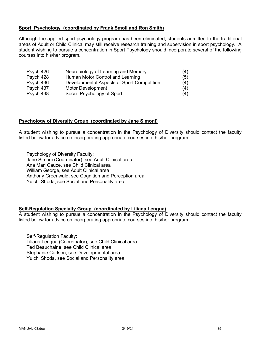### **Sport Psychology (coordinated by Frank Smoll and Ron Smith)**

Although the applied sport psychology program has been eliminated, students admitted to the traditional areas of Adult or Child Clinical may still receive research training and supervision in sport psychology. A student wishing to pursue a concentration in Sport Psychology should incorporate several of the following courses into his/her program.

| Psych 426 | Neurobiology of Learning and Memory        | (4) |
|-----------|--------------------------------------------|-----|
| Psych 428 | Human Motor Control and Learning           | (5) |
| Psych 436 | Developmental Aspects of Sport Competition | (4) |
| Psych 437 | Motor Development                          | (4) |
| Psych 438 | Social Psychology of Sport                 | (4) |

### **Psychology of Diversity Group (coordinated by Jane Simoni)**

A student wishing to pursue a concentration in the Psychology of Diversity should contact the faculty listed below for advice on incorporating appropriate courses into his/her program.

Psychology of Diversity Faculty: Jane Simoni (Coordinator) see Adult Clinical area Ana Mari Cauce, see Child Clinical area William George, see Adult Clinical area Anthony Greenwald, see Cognition and Perception area Yuichi Shoda, see Social and Personality area

### **Self-Regulation Specialty Group (coordinated by Liliana Lengua)**

A student wishing to pursue a concentration in the Psychology of Diversity should contact the faculty listed below for advice on incorporating appropriate courses into his/her program.

Self-Regulation Faculty: Liliana Lengua (Coordinator), see Child Clinical area Ted Beauchaine, see Child Clinical area Stephanie Carlson, see Developmental area Yuichi Shoda, see Social and Personality area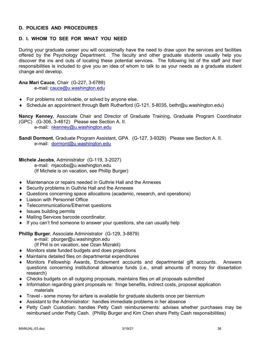### **D. POLICIES AND PROCEDURES**

### **D. I. WHOM TO SEE FOR WHAT YOU NEED**

During your graduate career you will occasionally have the need to draw upon the services and facilities offered by the Psychology Department. The faculty and other graduate students usually help you discover the ins and outs of locating these potential services. The following list of the staff and their responsibilities is included to give you an idea of whom to talk to as your needs as a graduate student change and develop.

**Ana Mari Cauce**, Chair (G-227, 3-6789)

e-mail: cauce@u.washington.edu

- $\bullet$  For problems not solvable, or solved by anyone else.
- ¨ Schedule an appointment through Beth Rutherford (G-121, 5-8035, bethr@u.washington.edu)

**Nancy Kenney**, Associate Chair and Director of Graduate Training, Graduate Program Coordinator (GPC) (G-306, 3-4612) Please see Section A. II. e-mail: nkenney@u.washington.edu

**Sandi Dormont**, Graduate Program Assistant, GPA (G-127, 3-9329) Please see Section A. II. e-mail: dormont@u.washington.edu

**Michele Jacobs**, Administrator (G-119, 3-2027) e-mail: mjacobs@u.washington.edu (If Michele is on vacation, see Phillip Burger)

- Maintenance or repairs needed in Guthrie Hall and the Annexes
- $\triangle$  Security problems in Guthrie Hall and the Annexes
- Questions concerning space allocations (academic, research, and operations)
- Liaison with Personnel Office
- ◆ Telecommunications/Ethernet questions
- $\bullet$  Issues building permits
- ◆ Mailing Services barcode coordinator.
- $\bullet$  If you can't find someone to answer your questions, she can usually help

**Phillip Burger**, Associate Administrator (G-129, 3-8879)

e-mail: pburger@u.washington.edu

(If Phil is on vacation, see Ozan Mizrakli)

- ◆ Monitors state funded budgets and does projections
- $\bullet$  Maintains detailed files on departmental expenditures
- Monitors Fellowship Awards, Endowment accounts and departmental gift accounts. Answers questions concerning institutional allowance funds (i.e., small amounts of money for dissertation research)
- $\bullet$  Checks budgets on all outgoing proposals, maintains files on all proposals submitted
- Information regarding grant proposals re: fringe benefits, indirect costs, proposal application materials
- $\bullet$  Travel some money for airfare is available for graduate students once per biennium
- $\bullet$  Assistant to the Administrator: handles immediate problems in her absence
- Petty Cash Custodian: handles Petty Cash reimbursements: advises whether purchases may be reimbursed under Petty Cash. (Phillip Burger and Kim Chen share Petty Cash responsibilities)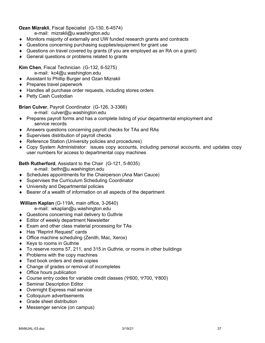### **Ozan Mizrakli**, Fiscal Specialist (G-130, 6-4574)

e-mail: mizrakli@u.washington.edu

- Monitors majority of externally and UW funded research grants and contracts
- Questions concerning purchasing supplies/equipment for grant use
- $\bullet$  Questions on travel covered by grants (if you are employed as an RA on a grant)
- $\triangleleft$  General questions or problems related to grants

**Kim Chen**, Fiscal Technician (G-132, 6-5275)

- e-mail: kc4@u.washington.edu
- ◆ Assistant to Phillip Burger and Ozan Mizrakli
- $\triangle$  Prepares travel paperwork
- $\triangleleft$  Handles all purchase order requests, including stores orders
- ◆ Petty Cash Custodian

**Brian Culver**, Payroll Coordinator (G-126, 3-3366)

- e-mail: culver@u.washington.edu
- Prepares payroll forms and has a complete listing of your departmental employment and service records
- Answers questions concerning payroll checks for TAs and RAs
- $\bullet$  Supervises distribution of payroll checks
- ◆ Reference Station (University policies and procedures)
- Copy System Administrator: issues copy accounts, including personal accounts, and updates copy user numbers for access to departmental copy machines

**Beth Rutherford**, Assistant to the Chair (G-121, 5-8035)

e-mail: bethr@u.washington.edu

- $\bullet$  Schedules appointments for the Chairperson (Ana Mari Cauce)
- ◆ Supervises the Curriculum Scheduling Coordinator
- ◆ University and Departmental policies
- $\bullet$  Bearer of a wealth of information on all aspects of the department

## **William Kaplan** (G-119A, main office, 3-2640)

e-mail: wkaplan@u.washington.edu

- ◆ Questions concerning mail delivery to Guthrie
- $\triangleleft$  Editor of weekly department Newsletter
- $\triangle$  Exam and other class material processing for TAs
- ◆ Has "Reprint Request" cards
- $\bullet$  Office machine scheduling (Zenith, Mac, Xerox)
- $\triangleleft$  Keys to rooms in Guthrie
- To reserve rooms 57, 211, and 315 in Guthrie, or rooms in other buildings
- $\bullet$  Problems with the copy machines
- $\triangleleft$  Text book orders and desk copies
- $\bullet$  Change of grades or removal of incompletes
- $\bullet$  Office hours publication
- ◆ Course entry codes for variable credit classes (Y600, Y700, Y800)
- ◆ Seminar Description Editor
- ◆ Overnight Express mail service
- Colloquium advertisements
- $\triangleleft$  Grade sheet distribution
- ◆ Messenger service (on campus)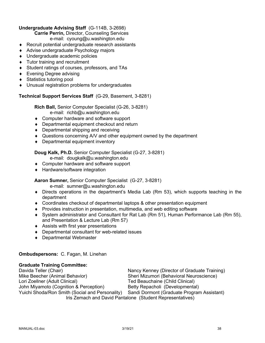## **Undergraduate Advising Staff** (G-114B, 3-2698)

**Carrie Perrin,** Director, Counseling Services

e-mail: cyoung@u.washington.edu

- $\triangle$  Recruit potential undergraduate research assistants
- ◆ Advise undergraduate Psychology majors
- ◆ Undergraduate academic policies
- $\bullet$  Tutor training and recruitment
- ◆ Student ratings of courses, professors, and TAs
- $\bullet$  Evening Degree advising
- $\bullet$  Statistics tutoring pool
- $\bullet$  Unusual registration problems for undergraduates

## **Technical Support Services Staff** (G-29, Basement, 3-8281)

**Rich Ball,** Senior Computer Specialist (G-26, 3-8281) e-mail: richb@u.washington.edu

- ◆ Computer hardware and software support
- $\bullet$  Departmental equipment checkout and return
- $\bullet$  Departmental shipping and receiving
- Questions concerning A/V and other equipment owned by the department
- $\bullet$  Departmental equipment inventory

## **Doug Kalk, Ph.D.** Senior Computer Specialist (G-27, 3-8281)

- e-mail: dougkalk@u.washington.edu
- ◆ Computer hardware and software support
- ◆ Hardware/software integration

## **Aaron Sumner,** Senior Computer Specialist (G-27, 3-8281)

e-mail: sumner@u.washington.edu

- $\bullet$  Directs operations in the department's Media Lab (Rm 53), which supports teaching in the department
- $\bullet$  Coordinates checkout of departmental laptops & other presentation equipment
- $\bullet$  Provides instruction in presentation, multimedia, and web editing software
- ¨ System administrator and Consultant for Rat Lab (Rm 51), Human Performance Lab (Rm 55), and Presentation & Lecture Lab (Rm 57)
- $\triangleleft$  Assists with first year presentations
- $\bullet$  Departmental consultant for web-related issues
- ◆ Departmental Webmaster

## **Ombudspersons:** C. Fagan, M. Linehan

## **Graduate Training Committee:**

Davida Teller (Chair) Nancy Kenney (Director of Graduate Training) Mike Beecher (Animal Behavior) Sheri Mizumori (Behavioral Neuroscience) Lori Zoellner (Adult Clinical) Ted Beauchaine (Child Clinical) John Miyamoto (Cognition & Perception) Betty Repacholi (Developmental) Yuichi Shoda/Ron Smith (Social and Personality) Sandi Dormont (Graduate Program Assistant) Iris Zemach and David Pantalone (Student Representatives)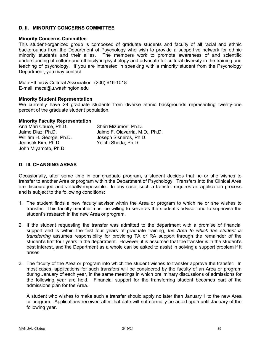### **D. II. MINORITY CONCERNS COMMITTEE**

### **Minority Concerns Committee**

This student-organized group is composed of graduate students and faculty of all racial and ethnic backgrounds from the Department of Psychology who wish to provide a supportive network for ethnic minority students and their allies. The members work to promote awareness of and scientific understanding of culture and ethnicity in psychology and advocate for cultural diversity in the training and teaching of psychology. If you are interested in speaking with a minority student from the Psychology Department, you may contact:

Multi-Ethnic & Cultural Association (206) 616-1018 E-mail: meca@u.washington.edu

### **Minority Student Representation**

We currently have 29 graduate students from diverse ethnic backgrounds representing twenty-one percent of the graduate student population.

### **Minority Faculty Representation**

| Ana Mari Cauce, Ph.D.    | Sheri Mizumori, Ph.D.           |
|--------------------------|---------------------------------|
| Jaime Diaz, Ph.D.        | Jaime F. Olavarria, M.D., Ph.D. |
| William H. George, Ph.D. | Joseph Sisneros, Ph.D.          |
| Jeansok Kim, Ph.D.       | Yuichi Shoda, Ph.D.             |
| John Miyamoto, Ph.D.     |                                 |

### **D. III. CHANGING AREAS**

Occasionally, after some time in our graduate program, a student decides that he or she wishes to transfer to another Area or program within the Department of Psychology. Transfers into the Clinical Area are discouraged and virtually impossible. In any case, such a transfer requires an application process and is subject to the following conditions:

- 1. The student finds a new faculty advisor within the Area or program to which he or she wishes to transfer. This faculty member must be willing to serve as the student's advisor and to supervise the student's research in the new Area or program.
- 2. If the student requesting the transfer was admitted to the department with a promise of financial support and is within the first four years of graduate training, *the Area to which the student is transferring* assumes responsibility for providing TA or RA support through the remainder of the student's first four years in the department. However, it is assumed that the transfer is in the student's best interest, and the Department as a whole can be asked to assist in solving a support problem if it arises.
- 3. The faculty of the Area or program into which the student wishes to transfer approve the transfer. In most cases, applications for such transfers will be considered by the faculty of an Area or program during January of each year, in the same meetings in which preliminary discussions of admissions for the following year are held. Financial support for the transferring student becomes part of the admissions plan for the Area.

A student who wishes to make such a transfer should apply no later than January 1 to the new Area or program. Applications received after that date will not normally be acted upon until January of the following year.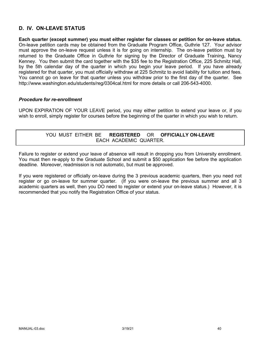## **D. IV. ON-LEAVE STATUS**

**Each quarter (except summer) you must either register for classes or petition for on-leave status.** On-leave petition cards may be obtained from the Graduate Program Office, Guthrie 127. Your advisor must approve the on-leave request unless it is for going on internship. The on-leave petition must by returned to the Graduate Office in Guthrie for signing by the Director of Graduate Training, Nancy Kenney. You then submit the card together with the \$35 fee to the Registration Office, 225 Schmitz Hall, by the 5th calendar day of the quarter in which you begin your leave period. If you have already registered for that quarter, you must officially withdraw at 225 Schmitz to avoid liability for tuition and fees. You cannot go on leave for that quarter unless you withdraw prior to the first day of the quarter. See http://www.washington.edu/students/reg/0304cal.html for more details or call 206-543-4000.

### *Procedure for re-enrollment*

UPON EXPIRATION OF YOUR LEAVE period, you may either petition to extend your leave or, if you wish to enroll, simply register for courses before the beginning of the quarter in which you wish to return.

## YOU MUST EITHER BE **REGISTERED** OR **OFFICIALLY ON-LEAVE** EACH ACADEMIC QUARTER.

Failure to register or extend your leave of absence will result in dropping you from University enrollment. You must then re-apply to the Graduate School and submit a \$50 application fee before the application deadline. Moreover, readmission is not automatic, but must be approved.

If you were registered or officially on-leave during the 3 previous academic quarters, then you need not register or go on-leave for summer quarter. (If you were on-leave the previous summer and all 3 academic quarters as well, then you DO need to register or extend your on-leave status.) However, it is recommended that you notify the Registration Office of your status.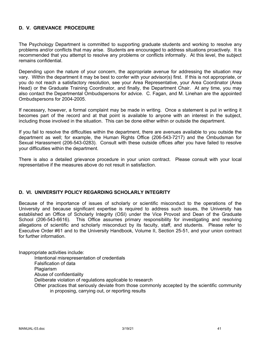## **D. V. GRIEVANCE PROCEDURE**

The Psychology Department is committed to supporting graduate students and working to resolve any problems and/or conflicts that may arise. Students are encouraged to address situations proactively. It is recommended that you attempt to resolve any problems or conflicts informally. At this level, the subject remains confidential.

Depending upon the nature of your concern, the appropriate avenue for addressing the situation may vary. Within the department it may be best to confer with your advisor(s) first. If this is not appropriate, or you do not reach a satisfactory resolution, see your Area Representative, your Area Coordinator (Area Head) or the Graduate Training Coordinator, and finally, the Department Chair. At any time, you may also contact the Departmental Ombudspersons for advice. C. Fagan, and M. Linehan are the appointed Ombudspersons for 2004-2005.

If necessary, however, a formal complaint may be made in writing. Once a statement is put in writing it becomes part of the record and at that point is available to anyone with an interest in the subject, including those involved in the situation. This can be done either within or outside the department.

If you fail to resolve the difficulties within the department, there are avenues available to you outside the department as well; for example, the Human Rights Office (206-543-7217) and the Ombudsman for Sexual Harassment (206-543-0283). Consult with these outside offices after you have failed to resolve your difficulties within the department.

There is also a detailed grievance procedure in your union contract. Please consult with your local representative if the measures above do not result in satisfaction.

### **D. VI. UNIVERSITY POLICY REGARDING SCHOLARLY INTEGRITY**

Because of the importance of issues of scholarly or scientific misconduct to the operations of the University and because significant expertise is required to address such issues, the University has established an Office of Scholarly Integrity (OSI) under the Vice Provost and Dean of the Graduate School (206-543-6616). This Office assumes primary responsibility for investigating and resolving allegations of scientific and scholarly misconduct by its faculty, staff, and students. Please refer to Executive Order #61 and to the University Handbook, Volume II, Section 25-51, and your union contract for further information.

Inappropriate activities include:

Intentional misrepresentation of credentials

Falsification of data

**Plagiarism** 

Abuse of confidentiality

Deliberate violation of regulations applicable to research

Other practices that seriously deviate from those commonly accepted by the scientific community in proposing, carrying out, or reporting results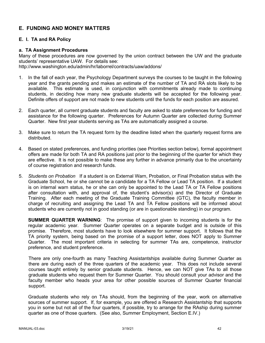## **E. FUNDING AND MONEY MATTERS**

### **E. I. TA and RA Policy**

### **a. TA Assignment Procedures**

Many of these procedures are now governed by the union contract between the UW and the graduate students' representative UAW. For details see: http://www.washington.edu/admin/hr/laborrel/contracts/uaw/addons/

- 1. In the fall of each year, the Psychology Department surveys the courses to be taught in the following year and the grants pending and makes an estimate of the number of TA and RA slots likely to be available. This estimate is used, in conjunction with commitments already made to continuing students, in deciding how many new graduate students will be accepted for the following year. Definite offers of support are not made to new students until the funds for each position are assured.
- 2. Each quarter, all current graduate students and faculty are asked to state preferences for funding and assistance for the following quarter. Preferences for Autumn Quarter are collected during Summer Quarter. New first year students serving as TAs are automatically assigned a course.
- 3. Make sure to return the TA request form by the deadline listed when the quarterly request forms are distributed.
- 4. Based on stated preferences, and funding priorities (see Priorities section below), formal appointment offers are made for both TA and RA positions just prior to the beginning of the quarter for which they are effective. It is not possible to make these any further in advance primarily due to the uncertainty of course registration and research funds.
- 5. *Students on Probation* If a student is on External Warn, Probation, or Final Probation status with the Graduate School, he or she cannot be a candidate for a TA Fellow or Lead TA position. If a student is on internal warn status, he or she can only be appointed to the Lead TA or TA Fellow positions after consultation with, and approval of, the student's advisor(s) and the Director of Graduate Training. After each meeting of the Graduate Training Committee (GTC), the faculty member in charge of recruiting and assigning the Lead TA and TA Fellow positions will be informed about students who are currently not in good standing (or are in questionable standing) in our program.

**SUMMER QUARTER WARNING**: The promise of support given to incoming students is for the regular academic year. Summer Quarter operates on a separate budget and is outside of this promise. Therefore, most students have to look elsewhere for summer support. It follows that the TA priority system, being based on the promise of a support letter, does NOT apply to Summer Quarter. The most important criteria in selecting for summer TAs are, competence, instructor preference, and student preference.

There are only one-fourth as many Teaching Assistantships available during Summer Quarter as there are during each of the three quarters of the academic year. This does not include several courses taught entirely by senior graduate students. Hence, we can NOT give TAs to all those graduate students who request them for Summer Quarter. You should consult your advisor and the faculty member who heads your area for other possible sources of Summer Quarter financial support.

Graduate students who rely on TAs should, from the beginning of the year, work on alternative sources of summer support. If, for example, you are offered a Research Assistantship that supports you in some but not all of the four quarters, if possible, try to arrange for the RAship during summer quarter as one of those quarters. (See also, Summer Employment, Section E.IV.)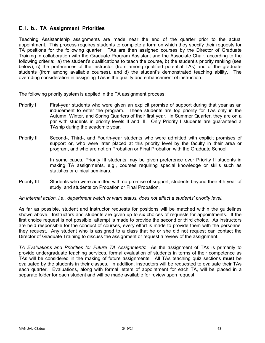## **E. I. b.. TA Assignment Priorities**

Teaching Assistantship assignments are made near the end of the quarter prior to the actual appointment. This process requires students to complete a form on which they specify their requests for TA positions for the following quarter. TAs are then assigned courses by the Director of Graduate Training in collaboration with the Graduate Program Assistant and the Associate Chair, according to the following criteria: a) the student's qualifications to teach the course, b) the student's priority ranking (see below), c) the preferences of the instructor (from among qualified potential TAs) and of the graduate students (from among available courses), and d) the student's demonstrated teaching ability. The overriding consideration in assigning TAs is the quality and enhancement of instruction.

The following priority system is applied in the TA assignment process:

- Priority I First-year students who were given an explicit promise of support during that year as an inducement to enter the program. These students are top priority for TAs only in the Autumn, Winter, and Spring Quarters of their first year. In Summer Quarter, they are on a par with students in priority levels II and III. Only Priority I students are guaranteed a TAship during the academic year.
- Priority II Second-, Third-, and Fourth-year students who were admitted with explicit promises of support or, who were later placed at this priority level by the faculty in their area or program, and who are not on Probation or Final Probation with the Graduate School.

In some cases, Priority III students may be given preference over Priority II students in making TA assignments, e.g., courses requiring special knowledge or skills such as statistics or clinical seminars.

Priority III Students who were admitted with no promise of support, students beyond their 4th year of study, and students on Probation or Final Probation.

*An internal action, i.e., department watch or warn status, does not affect a students' priority level.*

As far as possible, student and instructor requests for positions will be matched within the guidelines shown above. Instructors and students are given up to six choices of requests for appointments. If the first choice request is not possible, attempt is made to provide the second or third choice. As instructors are held responsible for the conduct of courses, every effort is made to provide them with the personnel they request. Any student who is assigned to a class that he or she did not request can contact the Director of Graduate Training to discuss the assignment or request a review of the assignment.

*TA Evaluations and Priorities for Future TA Assignments*: As the assignment of TAs is primarily to provide undergraduate teaching services, formal evaluation of students in terms of their competence as TAs will be considered in the making of future assignments. All TAs teaching quiz sections **must** be evaluated by the students in their classes. In addition, instructors will be requested to evaluate their TAs each quarter. Evaluations, along with formal letters of appointment for each TA, will be placed in a separate folder for each student and will be made available for review upon request.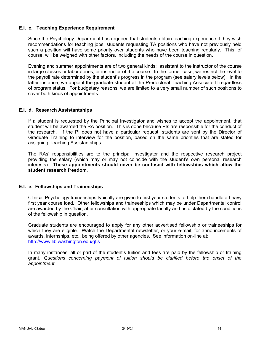### **E.I. c. Teaching Experience Requirement**

Since the Psychology Department has required that students obtain teaching experience if they wish recommendations for teaching jobs, students requesting TA positions who have not previously held such a position will have some priority over students who have been teaching regularly. This, of course, will be weighed with other factors, including the needs of the course in question.

Evening and summer appointments are of two general kinds: assistant to the instructor of the course in large classes or laboratories; or instructor of the course. In the former case, we restrict the level to the payroll rate determined by the student's progress in the program (see salary levels below). In the latter instance, we appoint the graduate student at the Predoctoral Teaching Associate II regardless of program status. For budgetary reasons, we are limited to a very small number of such positions to cover both kinds of appointments.

### **E.I. d. Research Assistantships**

If a student is requested by the Principal Investigator and wishes to accept the appointment, that student will be awarded the RA position. This is done because PIs are responsible for the conduct of the research. If the PI does not have a particular request, students are sent by the Director of Graduate Training to interview for the position, based on the same priorities that are stated for assigning Teaching Assistantships.

The RAs' responsibilities are to the principal investigator and the respective research project providing the salary (which may or may not coincide with the student's own personal research interests). **These appointments should never be confused with fellowships which allow the student research freedom**.

### **E.I. e. Fellowships and Traineeships**

Clinical Psychology traineeships typically are given to first year students to help them handle a heavy first year course load. Other fellowships and traineeships which may be under Departmental control are awarded by the Chair, after consultation with appropriate faculty and as dictated by the conditions of the fellowship in question.

Graduate students are encouraged to apply for any other advertised fellowship or traineeships for which they are eligible. Watch the Departmental newsletter, or your e-mail, for announcements of awards, internships, etc., being offered by other agencies. See information on-line at: http://www.lib.washington.edu/gfis

In many instances, all or part of the student's tuition and fees are paid by the fellowship or training grant. *Questions concerning payment of tuition should be clarified before the onset of the appointment.*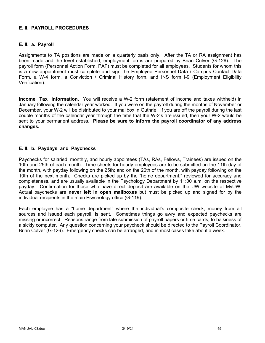### **E. II. PAYROLL PROCEDURES**

### **E. II. a. Payroll**

Assignments to TA positions are made on a quarterly basis only. After the TA or RA assignment has been made and the level established, employment forms are prepared by Brian Culver (G-126). The payroll form (Personnel Action Form, PAF) must be completed for all employees. Students for whom this is a new appointment must complete and sign the Employee Personnel Data / Campus Contact Data Form, a W-4 form, a Conviction / Criminal History form, and INS form I-9 (Employment Eligibility Verification).

**Income Tax Information.** You will receive a W-2 form (statement of income and taxes withheld) in January following the calendar year worked. If you were on the payroll during the months of November or December, your W-2 will be distributed to your mailbox in Guthrie. If you are off the payroll during the last couple months of the calendar year through the time that the W-2's are issued, then your W-2 would be sent to your permanent address. **Please be sure to inform the payroll coordinator of any address changes.**

### **E. II. b. Paydays and Paychecks**

Paychecks for salaried, monthly, and hourly appointees (TAs, RAs, Fellows, Trainees) are issued on the 10th and 25th of each month. Time sheets for hourly employees are to be submitted on the 11th day of the month, with payday following on the 25th; and on the 26th of the month, with payday following on the 10th of the next month. Checks are picked up by the "home department," reviewed for accuracy and completeness, and are usually available in the Psychology Department by 11:00 a.m. on the respective payday. Confirmation for those who have direct deposit are available on the UW website at MyUW. Actual paychecks are **never left in open mailboxes** but must be picked up and signed for by the individual recipients in the main Psychology office (G-119).

Each employee has a "home department" where the individual's composite check, money from all sources and issued each payroll, is sent. Sometimes things go awry and expected paychecks are missing or incorrect. Reasons range from late submission of payroll papers or time cards, to balkiness of a sickly computer. Any question concerning your paycheck should be directed to the Payroll Coordinator, Brian Culver (G-126). Emergency checks can be arranged, and in most cases take about a week.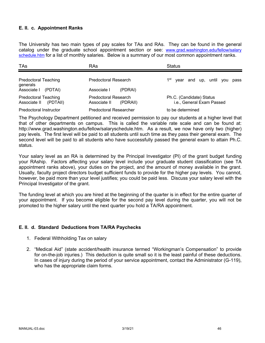### **E. II. c. Appointment Ranks**

The University has two main types of pay scales for TAs and RAs. They can be found in the general catalog under the graduate school appointment section or see: www.grad.washington.edu/fellow/salary schedule.htm for a list of monthly salaries. Below is a summary of our most common appointment ranks.

| <b>TAs</b>                                              | RAs                                                     | <b>Status</b>                                         |
|---------------------------------------------------------|---------------------------------------------------------|-------------------------------------------------------|
| <b>Predoctoral Teaching</b><br>generals                 | Predoctoral Research                                    | 1 <sup>st</sup><br>year and up, until you pass        |
| Associate I<br>(PDTAI)                                  | Associate I<br>(PDRAI)                                  |                                                       |
| <b>Predoctoral Teaching</b><br>Associate II<br>(PDTAII) | <b>Predoctoral Research</b><br>Associate II<br>(PDRAII) | Ph.C. (Candidate) Status<br>i.e., General Exam Passed |
| Predoctoral Instructor                                  | <b>Predoctoral Researcher</b>                           | to be determined                                      |

The Psychology Department petitioned and received permission to pay our students at a higher level that that of other departments on campus. This is called the variable rate scale and can be found at: http://www.grad.washington.edu/fellow/salaryschedule.htm. As a result, we now have only two (higher) pay levels. The first level will be paid to all students until such time as they pass their general exam. The second level will be paid to all students who have successfully passed the general exam to attain Ph.C. status.

Your salary level as an RA is determined by the Principal Investigator (PI) of the grant budget funding your RAship. Factors affecting your salary level include your graduate student classification (see TA appointment ranks above), your duties on the project, and the amount of money available in the grant. Usually, faculty project directors budget sufficient funds to provide for the higher pay levels. You cannot, however, be paid more than your level justifies; you could be paid less. Discuss your salary level with the Principal Investigator of the grant.

The funding level at which you are hired at the beginning of the quarter is in effect for the entire quarter of your appointment. If you become eligible for the second pay level during the quarter, you will not be promoted to the higher salary until the next quarter you hold a TA/RA appointment.

### **E. II. d. Standard Deductions from TA/RA Paychecks**

- 1. Federal Withholding Tax on salary
- 2. "Medical Aid" (state accident/health insurance termed "Workingman's Compensation" to provide for on-the-job injuries.) This deduction is quite small so it is the least painful of these deductions. In cases of injury during the period of your service appointment, contact the Administrator (G-119), who has the appropriate claim forms.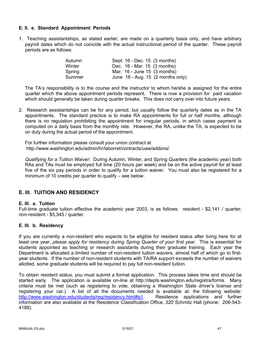### **E. II. e. Standard Appointment Periods**

1. Teaching assistantships, as stated earlier, are made on a quarterly basis only, and have arbitrary payroll dates which do not coincide with the actual instructional period of the quarter. These payroll periods are as follows:

| Autumn | Sept. 16 - Dec. 15 (3 months)                 |
|--------|-----------------------------------------------|
| Winter | Dec. 16 - Mar. 15 (3 months)                  |
| Spring | Mar. 16 - June 15 (3 months)                  |
| Summer | June $16$ - Aug. 15 $(2 \text{ months only})$ |

The TA's responsibility is to the course and the instructor to whom he/she is assigned for the entire quarter which the above appointment periods represent. There is now a provision for paid vacation which should generally be taken during quarter breaks. This does not carry over into future years.

2. Research assistantships can be for any period, but usually follow the quarterly dates as in the TA appointments. The standard practice is to make RA appointments for full or half months, although there is no regulation prohibiting the appointment for irregular periods, in which cases payment is computed on a daily basis from the monthly rate. However, the RA, unlike the TA, is expected to be on duty during the actual period of the appointment.

For further information please consult your union contract at http://www.washington.edu/admin/hr/laborrel/contracts/uaw/addons/

*Qualifying for a Tuition Waiver*: During Autumn, Winter, and Spring Quarters (the academic year) both RAs and TAs must be employed full time (20 hours per week) and be on the active payroll for at least five of the six pay periods in order to qualify for a tuition waiver. You must also be registered for a minimum of 10 credits per quarter to qualify – see below.

## **E. III. TUITION AND RESIDENCY**

### **E. III. a. Tuition**

Full-time graduate tuition effective the academic year 2003, is as follows: resident - \$2,141 / quarter; non-resident - \$5,345 / quarter.

### **E. III. b. Residency**

If you are currently a non-resident who expects to be eligible for resident status after living here for at least one year, *please apply for residency during Spring Quarter of your first year*. This is essential for students appointed as teaching or research assistants during their graduate training. Each year the Department is allocated a limited number of non-resident tuition waivers, almost half of which go to firstyear students. If the number of non-resident students with TA/RA support exceeds the number of waivers allotted, some graduate students will be required to pay full non-resident tuition.

To obtain resident status, you must submit a formal application. This process takes time and should be started early. The application is available on-line at http://depts.washington.edu/registra/forms. Many criteria must be met (such as registering to vote, obtaining a Washington State driver's license and registering your car.) A list of all the documents needed is available at: the following website: http://www.washington.edu/students/reg/residency.html#q1. Residence applications and further information are also available at the Residence Classification Office, 320 Schmitz Hall (phone: 206-543- 4188).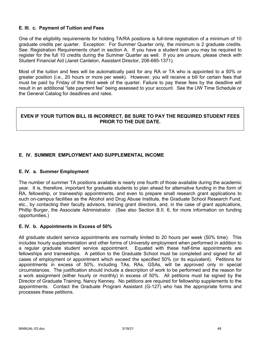### **E. III. c. Payment of Tuition and Fees**

One of the eligibility requirements for holding TA/RA positions is full-time registration of a minimum of 10 graduate credits per quarter. Exception: For Summer Quarter only, the minimum is 2 graduate credits. See: Registration Requirements chart in section A. If you have a student loan you may be required to register for the full 10 credits during the Summer Quarter as well. If you are unsure, please check with Student Financial Aid (Janet Cantelon, Assistant Director, 206-685-1371).

Most of the tuition and fees will be automatically paid for any RA or TA who is appointed to a 50% or greater position (i.e., 20 hours or more per week). However, you will receive a bill for certain fees that must be paid by Friday of the third week of the quarter. Failure to pay these fees by the deadline will result in an additional "late payment fee" being assessed to your account. See the UW Time Schedule or the General Catalog for deadlines and rates.

### **EVEN IF YOUR TUITION BILL IS INCORRECT, BE SURE TO PAY THE REQUIRED STUDENT FEES PRIOR TO THE DUE DATE.**

### **E. IV. SUMMER EMPLOYMENT AND SUPPLEMENTAL INCOME**

### **E. IV. a. Summer Employment**

The number of summer TA positions available is nearly one fourth of those available during the academic year. It is, therefore, important for graduate students to plan ahead for alternative funding in the form of RA, fellowship, or traineeship appointments, and even to prepare small research grant applications to such on-campus facilities as the Alcohol and Drug Abuse Institute, the Graduate School Research Fund, etc., by contacting their faculty advisors, training grant directors, and, in the case of grant applications, Phillip Burger, the Associate Administrator. (See also Section B.II. 6, for more information on funding opportunities.)

### **E. IV. b. Appointments in Excess of 50%**

All graduate student service appointments are normally limited to 20 hours per week (50% time). This includes hourly supplementation and other forms of University employment when performed in addition to a regular graduate student service appointment. Equated with these half-time appointments are fellowships and traineeships. A petition to the Graduate School must be completed and signed for all cases of employment or appointment which exceed the specified 50% (or its equivalent). Petitions for appointments in excess of 50%, including TAs, RAs, GSAs, will be approved only in special circumstances. The justification should include a description of work to be performed and the reason for a work assignment (either hourly or monthly) in excess of 50%. All petitions must be signed by the Director of Graduate Training, Nancy Kenney. No petitions are required for fellowship supplements to the appointments. Contact the Graduate Program Assistant (G-127) who has the appropriate forms and processes these petitions.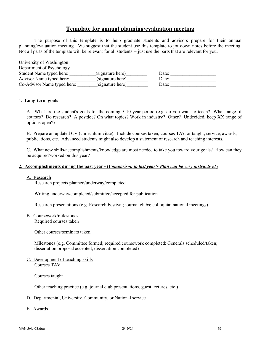## **Template for annual planning/evaluation meeting**

The purpose of this template is to help graduate students and advisors prepare for their annual planning/evaluation meeting. We suggest that the student use this template to jot down notes before the meeting. Not all parts of the template will be relevant for all students -- just use the parts that are relevant for you.

| University of Washington    |                  |       |
|-----------------------------|------------------|-------|
| Department of Psychology    |                  |       |
| Student Name typed here:    | (signature here) | Date: |
| Advisor Name typed here:    | (signature here) | Date: |
| Co-Advisor Name typed here: | (signature here) | Date: |

#### **1. Long-term goals**

A. What are the student's goals for the coming 5-10 year period (e.g. do you want to teach? What range of courses? Do research? A postdoc? On what topics? Work in industry? Other? Undecided, keep XX range of options open?)

B. Prepare an updated CV (curriculum vitae). Include courses taken, courses TA'd or taught, service, awards, publications, etc. Advanced students might also develop a statement of research and teaching interests.

C. What new skills/accomplishments/knowledge are most needed to take you toward your goals? How can they be acquired/worked on this year?

#### **2. Accomplishments during the past year - (***Comparison to last year's Plan can be very instructive!***)**

#### A. Research

Research projects planned/underway/completed

Writing underway/completed/submitted/accepted for publication

Research presentations (e.g. Research Festival; journal clubs; colloquia; national meetings)

B. Coursework/milestones

Required courses taken

Other courses/seminars taken

Milestones (e.g. Committee formed; required coursework completed; Generals scheduled/taken; dissertation proposal accepted; dissertation completed)

C. Development of teaching skills Courses TA'd

Courses taught

Other teaching practice (e.g. journal club presentations, guest lectures, etc.)

#### D. Departmental, University, Community, or National service

E. Awards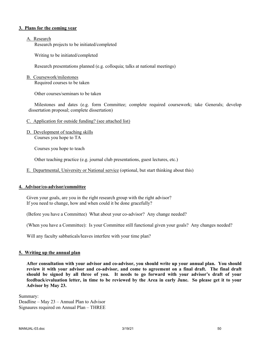#### **3. Plans for the coming year**

#### A. Research

Research projects to be initiated/completed

Writing to be initiated/completed

Research presentations planned (e.g. colloquia; talks at national meetings)

#### B. Coursework/milestones

Required courses to be taken

Other courses/seminars to be taken

Milestones and dates (e.g. form Committee; complete required coursework; take Generals; develop dissertation proposal; complete dissertation)

#### C. Application for outside funding? (see attached list)

D. Development of teaching skills Courses you hope to TA

Courses you hope to teach

Other teaching practice (e.g. journal club presentations, guest lectures, etc.)

E. Departmental, University or National service (optional, but start thinking about this)

### **4. Advisor/co-advisor/committee**

Given your goals, are you in the right research group with the right advisor? If you need to change, how and when could it be done gracefully?

(Before you have a Committee) What about your co-advisor? Any change needed?

(When you have a Committee): Is your Committee still functional given your goals? Any changes needed?

Will any faculty sabbaticals/leaves interfere with your time plan?

#### **5. Writing up the annual plan**

**After consultation with your advisor and co-advisor, you should write up your annual plan. You should review it with your advisor and co-advisor, and come to agreement on a final draft. The final draft should be signed by all three of you. It needs to go forward with your advisor's draft of your feedback/evaluation letter, in time to be reviewed by the Area in early June. So please get it to your Advisor by May 23.**

Summary: Deadline – May 23 – Annual Plan to Advisor Signaures required on Annual Plan – THREE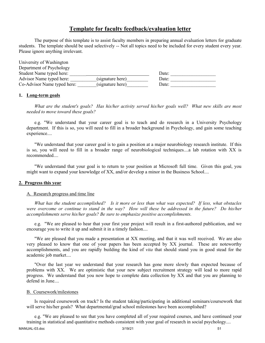## **Template for faculty feedback/evaluation letter**

The purpose of this template is to assist faculty members in preparing annual evaluation letters for graduate students. The template should be used selectively -- Not all topics need to be included for every student every year. Please ignore anything irrelevant.

| University of Washington    |                  |       |  |
|-----------------------------|------------------|-------|--|
| Department of Psychology    |                  |       |  |
| Student Name typed here:    |                  | Date: |  |
| Advisor Name typed here:    | (signature here) | Date: |  |
| Co-Advisor Name typed here: | (signature here) | Date: |  |

#### **1. Long-term goals**

*What are the student's goals? Has his/her activity served his/her goals well? What new skills are most needed to move toward these goals?*

e.g. "We understand that your career goal is to teach and do research in a University Psychology department. If this is so, you will need to fill in a broader background in Psychology, and gain some teaching experience....

"We understand that your career goal is to gain a position at a major neurobiology research institute. If this is so, you will need to fill in a broader range of neurobiological techniques....a lab rotation with XX is recommended....

"We understand that your goal is to return to your position at Microsoft full time. Given this goal, you might want to expand your knowledge of XX, and/or develop a minor in the Business School....

#### **2. Progress this year**

#### A. Research progress and time line

*What has the student accomplished? Is it more or less than what was expected? If less, what obstacles were overcome or continue to stand in the way? How will these be addressed in the future? Do his/her accomplishments serve his/her goals? Be sure to emphasize positive accomplishments.*

e.g. "We are pleased to hear that your first year project will result in a first-authored publication, and we encourage you to write it up and submit it in a timely fashion....

"We are pleased that you made a presentation at XX meeting, and that it was well received. We are also very pleased to know that one of your papers has been accepted by XX journal. These are noteworthy accomplishments, and you are rapidly building the kind of *vita* that should stand you in good stead for the academic job market....

"Over the last year we understand that your research has gone more slowly than expected because of problems with XX. We are optimistic that your new subject recruitment strategy will lead to more rapid progress. We understand that you now hope to complete data collection by XX and that you are planning to defend in June....

#### B. Coursework/milestones

Is required coursework on track? Is the student taking/participating in additional seminars/coursework that will serve his/her goals? What departmental/grad school milestones have been accomplished?

e.g. "We are pleased to see that you have completed all of your required courses, and have continued your training in statistical and quantitative methods consistent with your goal of research in social psychology....